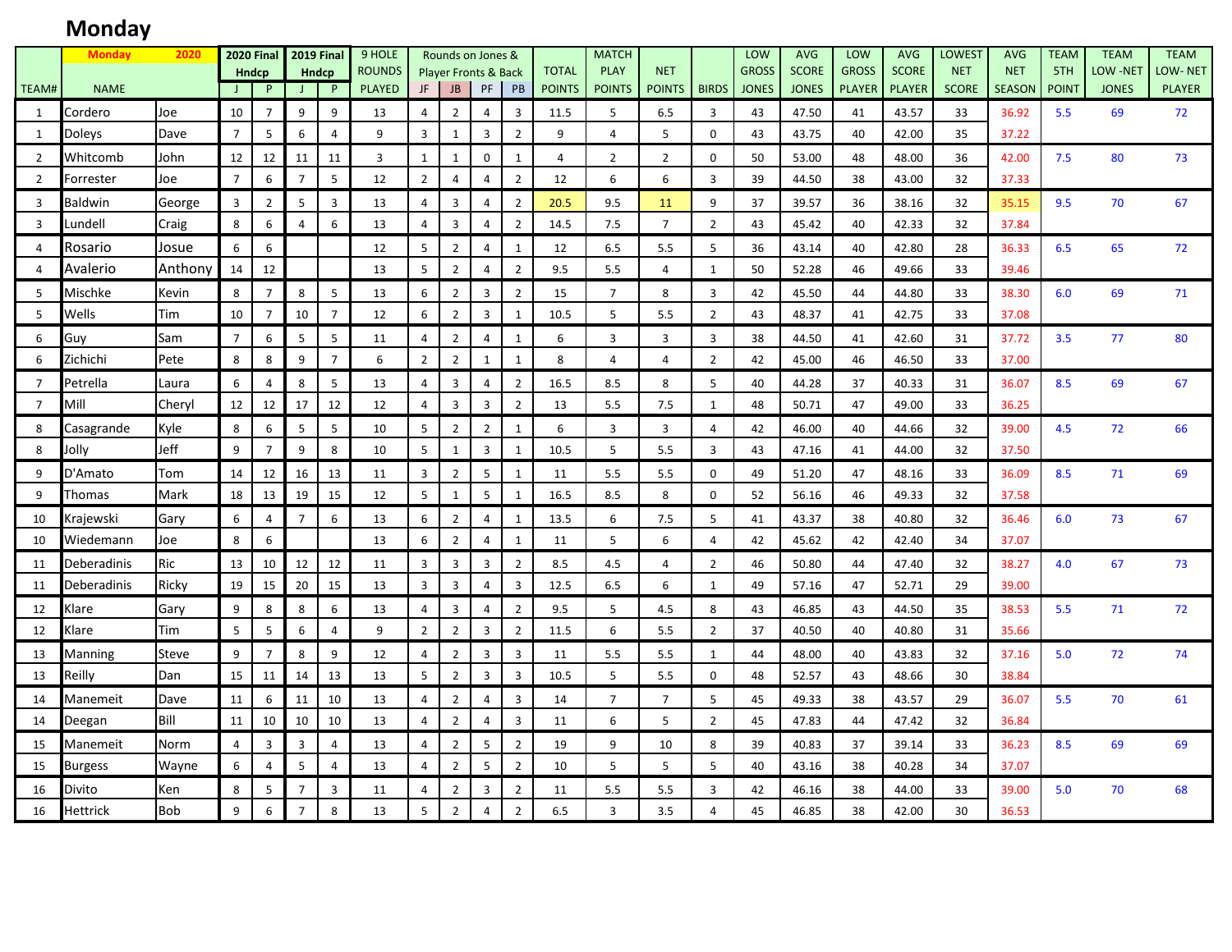# **Monday**

|                | <b>Monday</b>   | 2020       |                | <b>2020 Final</b> |                | <b>2019 Final</b> | 9 HOLE                         |                | Rounds on Jones &                            |                |                         |                               | <b>MATCH</b>                 |                             |                | LOW                          | <b>AVG</b>                   | LOW                           | <b>AVG</b>                    | <b>LOWEST</b>              | <b>AVG</b>                  | <b>TEAM</b>         | <b>TEAM</b>              | <b>TEAM</b>                     |
|----------------|-----------------|------------|----------------|-------------------|----------------|-------------------|--------------------------------|----------------|----------------------------------------------|----------------|-------------------------|-------------------------------|------------------------------|-----------------------------|----------------|------------------------------|------------------------------|-------------------------------|-------------------------------|----------------------------|-----------------------------|---------------------|--------------------------|---------------------------------|
| TEAM#          | <b>NAME</b>     |            |                | Hndcp<br>P        |                | <b>Hndcp</b><br>P | <b>ROUNDS</b><br><b>PLAYED</b> | JF             | <b>Player Fronts &amp; Back</b><br><b>JB</b> | PF             | PB                      | <b>TOTAL</b><br><b>POINTS</b> | <b>PLAY</b><br><b>POINTS</b> | <b>NET</b><br><b>POINTS</b> | <b>BIRDS</b>   | <b>GROSS</b><br><b>JONES</b> | <b>SCORE</b><br><b>JONES</b> | <b>GROSS</b><br><b>PLAYER</b> | <b>SCORE</b><br><b>PLAYER</b> | <b>NET</b><br><b>SCORE</b> | <b>NET</b><br><b>SEASON</b> | 5TH<br><b>POINT</b> | LOW -NET<br><b>JONES</b> | <b>LOW-NET</b><br><b>PLAYER</b> |
|                |                 |            | $\perp$        |                   |                |                   |                                |                |                                              |                |                         |                               |                              |                             |                |                              |                              |                               |                               |                            |                             |                     |                          |                                 |
| 1              | Cordero         | Joe        | 10             | $\overline{7}$    | 9              | 9                 | 13                             | $\overline{4}$ | $\overline{2}$                               | $\overline{4}$ | $\overline{\mathbf{3}}$ | 11.5                          | 5                            | 6.5                         | 3              | 43                           | 47.50                        | 41                            | 43.57                         | 33                         | 36.92                       | 5.5                 | 69                       | 72                              |
| 1              | <b>Doleys</b>   | Dave       | $\overline{7}$ | 5                 | 6              | $\overline{4}$    | 9                              | $\overline{3}$ | $\mathbf{1}$                                 | $\overline{3}$ | $\overline{2}$          | 9                             | 4                            | 5                           | $\mathbf 0$    | 43                           | 43.75                        | 40                            | 42.00                         | 35                         | 37.22                       |                     |                          |                                 |
| $\overline{2}$ | Whitcomb        | John       | 12             | 12                | 11             | 11                | 3                              | $\mathbf{1}$   | $\mathbf{1}$                                 | 0              | $\mathbf{1}$            | 4                             | $\overline{2}$               | $\overline{2}$              | $\Omega$       | 50                           | 53.00                        | 48                            | 48.00                         | 36                         | 42.00                       | 7.5                 | 80                       | 73                              |
| $\overline{2}$ | Forrester       | Joe        | $\overline{7}$ | 6                 | $\overline{7}$ | 5                 | 12                             | $\overline{2}$ | $\overline{4}$                               | $\overline{4}$ | $\overline{2}$          | 12                            | 6                            | 6                           | 3              | 39                           | 44.50                        | 38                            | 43.00                         | 32                         | 37.33                       |                     |                          |                                 |
| $\overline{3}$ | <b>Baldwin</b>  | George     | $\overline{3}$ | $\overline{2}$    | 5              | $\overline{3}$    | 13                             | $\overline{4}$ | $\overline{3}$                               | $\overline{4}$ | $\overline{2}$          | 20.5                          | 9.5                          | 11                          | 9              | 37                           | 39.57                        | 36                            | 38.16                         | 32                         | 35.15                       | 9.5                 | 70                       | 67                              |
| $\overline{3}$ | .undell         | Craig      | 8              | 6                 | 4              | 6                 | 13                             | 4              | $\overline{3}$                               | $\overline{4}$ | $\overline{2}$          | 14.5                          | 7.5                          | $\overline{7}$              | $\overline{2}$ | 43                           | 45.42                        | 40                            | 42.33                         | 32                         | 37.84                       |                     |                          |                                 |
| 4              | Rosario         | Josue      | 6              | 6                 |                |                   | 12                             | 5              | $\overline{2}$                               | $\overline{4}$ | $\mathbf{1}$            | 12                            | 6.5                          | 5.5                         | 5              | 36                           | 43.14                        | 40                            | 42.80                         | 28                         | 36.33                       | 6.5                 | 65                       | 72                              |
| 4              | Avalerio        | Anthony    | 14             | 12                |                |                   | 13                             | 5              | $\overline{2}$                               | $\overline{4}$ | $\overline{2}$          | 9.5                           | 5.5                          | 4                           | $\mathbf{1}$   | 50                           | 52.28                        | 46                            | 49.66                         | 33                         | 39.46                       |                     |                          |                                 |
| 5              | Mischke         | Kevin      | 8              | $\overline{7}$    | 8              | 5                 | 13                             | 6              | $\overline{2}$                               | $\overline{3}$ | $\overline{2}$          | 15                            | $\overline{7}$               | 8                           | 3              | 42                           | 45.50                        | 44                            | 44.80                         | 33                         | 38.30                       | 6.0                 | 69                       | 71                              |
| 5              | Wells           | Tim        | 10             | $\overline{7}$    | 10             | $\overline{7}$    | 12                             | 6              | $\overline{2}$                               | $\overline{3}$ | $\mathbf{1}$            | 10.5                          | 5                            | 5.5                         | $\overline{2}$ | 43                           | 48.37                        | 41                            | 42.75                         | 33                         | 37.08                       |                     |                          |                                 |
| 6              | Guy             | Sam        | $\overline{7}$ | 6                 | 5              | 5                 | 11                             | $\overline{4}$ | $\overline{2}$                               | $\overline{4}$ | $\mathbf{1}$            | 6                             | 3                            | 3                           | 3              | 38                           | 44.50                        | 41                            | 42.60                         | 31                         | 37.72                       | 3.5                 | 77                       | 80                              |
| 6              | Zichichi        | Pete       | 8              | 8                 | 9              | $7^{\circ}$       | 6                              | $\overline{2}$ | $\overline{2}$                               | $\mathbf{1}$   | $\mathbf{1}$            | 8                             | $\overline{4}$               | $\overline{4}$              | $\overline{2}$ | 42                           | 45.00                        | 46                            | 46.50                         | 33                         | 37.00                       |                     |                          |                                 |
| $\overline{7}$ | Petrella        | Laura      | 6              | 4                 | 8              | 5                 | 13                             | $\overline{a}$ | $\overline{3}$                               | $\overline{4}$ | $\overline{2}$          | 16.5                          | 8.5                          | 8                           | 5              | 40                           | 44.28                        | 37                            | 40.33                         | 31                         | 36.07                       | 8.5                 | 69                       | 67                              |
| $\overline{7}$ | Mill            | Cheryl     | 12             | 12                | 17             | 12                | 12                             | $\overline{4}$ | $\overline{\mathbf{3}}$                      | $\overline{3}$ | $\overline{2}$          | 13                            | 5.5                          | 7.5                         | $\mathbf{1}$   | 48                           | 50.71                        | 47                            | 49.00                         | 33                         | 36.25                       |                     |                          |                                 |
| 8              | Casagrande      | Kyle       | 8              | 6                 | 5              | 5                 | 10                             | 5              | $\overline{2}$                               | $\overline{2}$ | 1                       | 6                             | 3                            | 3                           | $\Delta$       | 42                           | 46.00                        | 40                            | 44.66                         | 32                         | 39.00                       | 4.5                 | 72                       | 66                              |
| 8              | Jolly           | Jeff       | 9              | $\overline{7}$    | 9              | 8                 | 10                             | 5              | 1                                            | $\overline{3}$ | 1                       | 10.5                          | 5                            | 5.5                         | 3              | 43                           | 47.16                        | 41                            | 44.00                         | 32                         | 37.50                       |                     |                          |                                 |
| 9              | D'Amato         | Tom        | 14             | 12                | 16             | 13                | 11                             | $\overline{3}$ | $\overline{2}$                               | 5              | $\mathbf{1}$            | 11                            | 5.5                          | 5.5                         | $\mathbf 0$    | 49                           | 51.20                        | 47                            | 48.16                         | 33                         | 36.09                       | 8.5                 | 71                       | 69                              |
| 9              | Thomas          | Mark       | 18             | 13                | 19             | 15                | 12                             | 5              | $\mathbf{1}$                                 | 5              | $\mathbf{1}$            | 16.5                          | 8.5                          | 8                           | $\Omega$       | 52                           | 56.16                        | 46                            | 49.33                         | 32                         | 37.58                       |                     |                          |                                 |
| 10             | Krajewski       | Gary       | 6              | 4                 | $\overline{7}$ | 6                 | 13                             | 6              | $\overline{2}$                               | $\overline{4}$ | $\mathbf{1}$            | 13.5                          | 6                            | 7.5                         | 5              | 41                           | 43.37                        | 38                            | 40.80                         | 32                         | 36.46                       | 6.0                 | 73                       | 67                              |
| 10             | Wiedemann       | Joe        | 8              | 6                 |                |                   | 13                             | 6              | $\overline{2}$                               | $\overline{4}$ | $\mathbf{1}$            | 11                            | 5                            | 6                           | 4              | 42                           | 45.62                        | 42                            | 42.40                         | 34                         | 37.07                       |                     |                          |                                 |
| 11             | Deberadinis     | Ric        | 13             | 10                | 12             | 12                | 11                             | $\overline{3}$ | 3                                            | $\overline{3}$ | $\overline{2}$          | 8.5                           | 4.5                          | $\overline{4}$              | $\overline{2}$ | 46                           | 50.80                        | 44                            | 47.40                         | 32                         | 38.27                       | 4.0                 | 67                       | 73                              |
| 11             | Deberadinis     | Ricky      | 19             | 15                | 20             | 15                | 13                             | $\overline{3}$ | $\overline{3}$                               | $\overline{4}$ | $\overline{3}$          | 12.5                          | 6.5                          | 6                           | 1              | 49                           | 57.16                        | 47                            | 52.71                         | 29                         | 39.00                       |                     |                          |                                 |
| 12             | Klare           | Gary       | 9              | 8                 | 8              | 6                 | 13                             | $\overline{4}$ | $\overline{3}$                               | $\overline{4}$ | $\overline{2}$          | 9.5                           | 5                            | 4.5                         | 8              | 43                           | 46.85                        | 43                            | 44.50                         | 35                         | 38.53                       | 5.5                 | 71                       | 72                              |
| 12             | Klare           | Tim        | 5              | 5                 | 6              | $\overline{4}$    | 9                              | $\overline{2}$ | $\overline{2}$                               | $\overline{3}$ | $\overline{2}$          | 11.5                          | 6                            | 5.5                         | $\overline{2}$ | 37                           | 40.50                        | 40                            | 40.80                         | 31                         | 35.66                       |                     |                          |                                 |
| 13             | Manning         | Steve      | 9              | $\overline{7}$    | 8              | 9                 | 12                             | $\overline{4}$ | $\overline{2}$                               | $\overline{3}$ | $\overline{\mathbf{3}}$ | 11                            | 5.5                          | 5.5                         | 1              | 44                           | 48.00                        | 40                            | 43.83                         | 32                         | 37.16                       | 5.0                 | 72                       | 74                              |
| 13             | Reilly          | Dan        | 15             | 11                | 14             | 13                | 13                             | 5              | $\overline{2}$                               | $\overline{3}$ | $\overline{3}$          | 10.5                          | 5                            | 5.5                         | $\mathbf 0$    | 48                           | 52.57                        | 43                            | 48.66                         | 30                         | 38.84                       |                     |                          |                                 |
| 14             | Manemeit        | Dave       | 11             | 6                 | 11             | 10                | 13                             | $\overline{4}$ | $\overline{2}$                               | 4              | 3                       | 14                            | $\overline{7}$               | $\overline{7}$              | 5              | 45                           | 49.33                        | 38                            | 43.57                         | 29                         | 36.07                       | 5.5                 | 70                       | 61                              |
| 14             | Deegan          | Bill       | 11             | 10                | 10             | 10                | 13                             | $\overline{4}$ | $\overline{2}$                               | $\overline{4}$ | $\overline{3}$          | 11                            | 6                            | 5                           | $\overline{2}$ | 45                           | 47.83                        | 44                            | 47.42                         | 32                         | 36.84                       |                     |                          |                                 |
| 15             | Manemeit        | Norm       | 4              | 3                 | 3              | 4                 | 13                             | $\overline{4}$ | $\overline{2}$                               | 5              | $\overline{2}$          | 19                            | 9                            | 10                          | 8              | 39                           | 40.83                        | 37                            | 39.14                         | 33                         | 36.23                       | 8.5                 | 69                       | 69                              |
| 15             | <b>Burgess</b>  | Wayne      | 6              | 4                 | 5              | $\overline{4}$    | 13                             | 4              | $\overline{2}$                               | 5              | $\overline{2}$          | 10                            | 5                            | 5                           | 5              | 40                           | 43.16                        | 38                            | 40.28                         | 34                         | 37.07                       |                     |                          |                                 |
| 16             | <b>Divito</b>   | Ken        | 8              | 5                 | $\overline{7}$ | 3                 | 11                             | $\overline{a}$ | $\overline{2}$                               | $\overline{3}$ | $\overline{2}$          | 11                            | 5.5                          | 5.5                         | 3              | 42                           | 46.16                        | 38                            | 44.00                         | 33                         | 39.00                       | 5.0                 | 70                       | 68                              |
| 16             | <b>Hettrick</b> | <b>Bob</b> | 9              | 6                 | $\overline{7}$ | 8                 | 13                             | $\overline{5}$ | $\overline{2}$                               | $\overline{4}$ | $\overline{2}$          | 6.5                           | $\overline{3}$               | 3.5                         | $\overline{4}$ | 45                           | 46.85                        | 38                            | 42.00                         | 30                         | 36.53                       |                     |                          |                                 |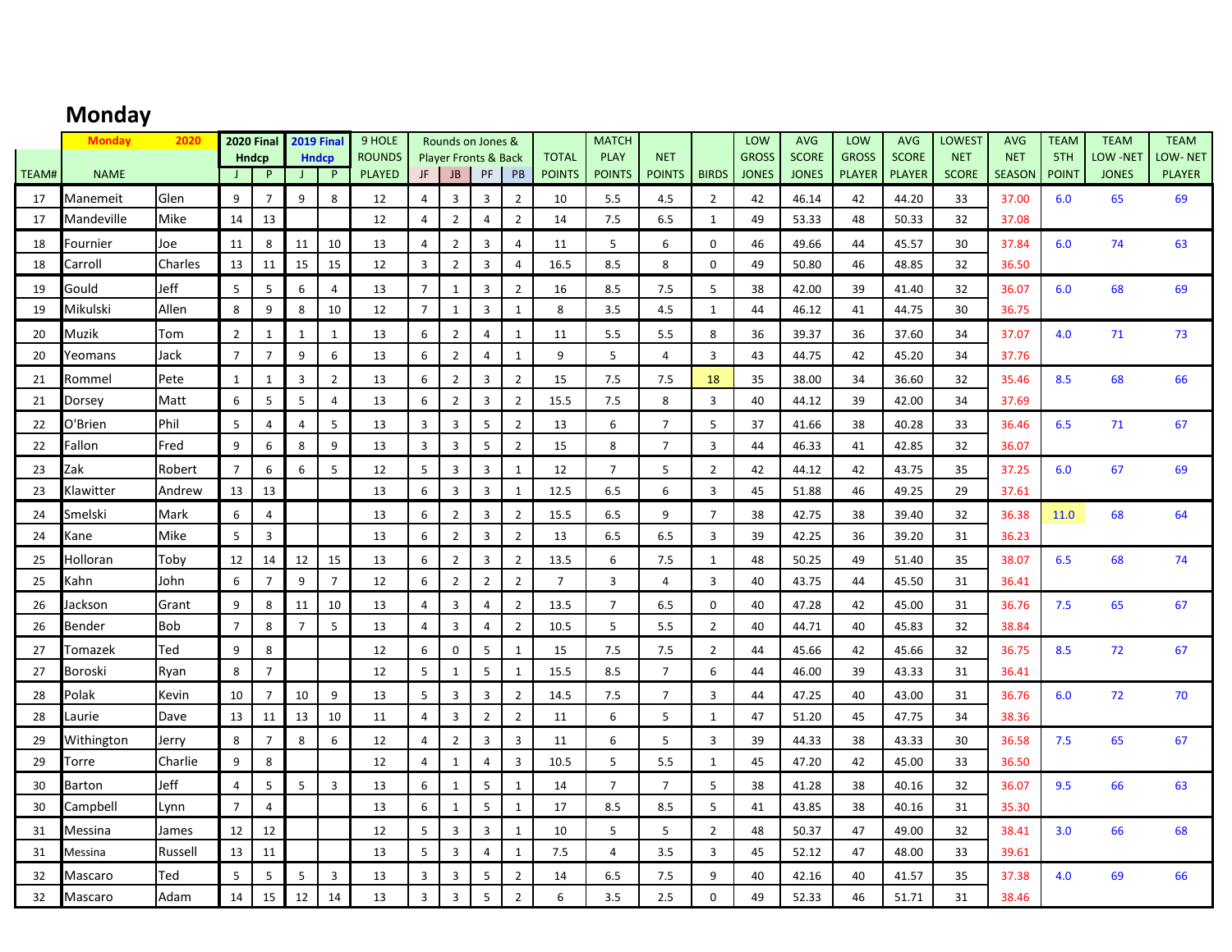## **Monday**

|       | <b>Monday</b> | 2020       |                | 2020 Final 2019 Final |                |                              | 9 HOLE                         |                | Rounds on Jones &                            |                |                |                               | <b>MATCH</b>   |                             |                | LOW                          | <b>AVG</b>                   | LOW                           | <b>AVG</b>                    | LOWEST                     | <b>AVG</b>                  | <b>TEAM</b>         | <b>TEAM</b>              | <b>TEAM</b>             |
|-------|---------------|------------|----------------|-----------------------|----------------|------------------------------|--------------------------------|----------------|----------------------------------------------|----------------|----------------|-------------------------------|----------------|-----------------------------|----------------|------------------------------|------------------------------|-------------------------------|-------------------------------|----------------------------|-----------------------------|---------------------|--------------------------|-------------------------|
| TEAM# |               |            | J.             | <b>Hndcp</b><br>P     | $\perp$        | <b>Hndcp</b><br>$\mathsf{P}$ | <b>ROUNDS</b><br><b>PLAYED</b> | JF             | <b>Player Fronts &amp; Back</b><br><b>JB</b> | PF             | PB             | <b>TOTAL</b><br><b>POINTS</b> | <b>PLAY</b>    | <b>NET</b><br><b>POINTS</b> | <b>BIRDS</b>   | <b>GROSS</b><br><b>JONES</b> | <b>SCORE</b><br><b>JONES</b> | <b>GROSS</b><br><b>PLAYER</b> | <b>SCORE</b><br><b>PLAYER</b> | <b>NET</b><br><b>SCORE</b> | <b>NET</b><br><b>SEASON</b> | 5TH<br><b>POINT</b> | LOW -NET<br><b>JONES</b> | OW-NET<br><b>PLAYER</b> |
|       | <b>NAME</b>   |            |                |                       |                |                              |                                |                |                                              |                |                |                               | <b>POINTS</b>  |                             |                |                              |                              |                               |                               |                            |                             |                     |                          |                         |
| 17    | Manemeit      | Glen       | 9              | $\overline{7}$        | 9              | 8                            | 12                             | 4              | $\overline{3}$                               | 3              | $\overline{2}$ | 10                            | 5.5            | 4.5                         | $\overline{2}$ | 42                           | 46.14                        | 42                            | 44.20                         | 33                         | 37.00                       | 6.0                 | 65                       | 69                      |
| 17    | Mandeville    | Mike       | 14             | 13                    |                |                              | 12                             | $\overline{4}$ | $\overline{2}$                               | $\overline{4}$ | $\overline{2}$ | 14                            | 7.5            | 6.5                         | $\mathbf{1}$   | 49                           | 53.33                        | 48                            | 50.33                         | 32                         | 37.08                       |                     |                          |                         |
| 18    | Fournier      | Joe        | 11             | 8                     | 11             | 10                           | 13                             | $\overline{4}$ | $\overline{2}$                               | 3              | $\overline{4}$ | 11                            | 5              | 6                           | $\Omega$       | 46                           | 49.66                        | 44                            | 45.57                         | 30                         | 37.84                       | 6.0                 | 74                       | 63                      |
| 18    | Carroll       | Charles    | 13             | 11                    | 15             | 15                           | 12                             | $\overline{3}$ | $\overline{2}$                               | $\overline{3}$ | $\overline{4}$ | 16.5                          | 8.5            | 8                           | $\Omega$       | 49                           | 50.80                        | 46                            | 48.85                         | 32                         | 36.50                       |                     |                          |                         |
| 19    | Gould         | Jeff       | 5              | 5                     | 6              | $\overline{4}$               | 13                             | $\overline{7}$ | 1                                            | 3              | $\overline{2}$ | 16                            | 8.5            | 7.5                         | 5              | 38                           | 42.00                        | 39                            | 41.40                         | 32                         | 36.07                       | 6.0                 | 68                       | 69                      |
| 19    | Mikulski      | Allen      | 8              | 9                     | 8              | 10                           | 12                             | $\overline{7}$ | $\mathbf{1}$                                 | $\overline{3}$ | $\mathbf{1}$   | 8                             | 3.5            | 4.5                         | 1              | 44                           | 46.12                        | 41                            | 44.75                         | 30                         | 36.75                       |                     |                          |                         |
| 20    | Muzik         | Tom        | $\overline{2}$ | 1                     | $\mathbf{1}$   | 1                            | 13                             | 6              | $\overline{2}$                               | $\overline{4}$ | $\mathbf{1}$   | 11                            | 5.5            | 5.5                         | 8              | 36                           | 39.37                        | 36                            | 37.60                         | 34                         | 37.07                       | 4.0                 | 71                       | 73                      |
| 20    | Yeomans       | Jack       | $\overline{7}$ | $\overline{7}$        | 9              | 6                            | 13                             | 6              | $\overline{2}$                               | $\overline{4}$ | $\mathbf{1}$   | 9                             | 5              | $\overline{4}$              | $\overline{3}$ | 43                           | 44.75                        | 42                            | 45.20                         | 34                         | 37.76                       |                     |                          |                         |
| 21    | Rommel        | Pete       | 1              | 1                     | 3              | $\overline{2}$               | 13                             | 6              | $\overline{2}$                               | $\overline{3}$ | $\overline{2}$ | 15                            | 7.5            | 7.5                         | 18             | 35                           | 38.00                        | 34                            | 36.60                         | 32                         | 35.46                       | 8.5                 | 68                       | 66                      |
| 21    | Dorsey        | Matt       | 6              | 5                     | 5              | $\overline{4}$               | 13                             | 6              | $\overline{2}$                               | $\overline{3}$ | $\overline{2}$ | 15.5                          | 7.5            | 8                           | $\overline{3}$ | 40                           | 44.12                        | 39                            | 42.00                         | 34                         | 37.69                       |                     |                          |                         |
| 22    | O'Brien       | Phil       | 5              | 4                     | 4              | 5                            | 13                             | 3              | $\overline{3}$                               | 5              | $\sqrt{2}$     | 13                            | 6              | $\overline{7}$              | 5              | 37                           | 41.66                        | 38                            | 40.28                         | 33                         | 36.46                       | 6.5                 | 71                       | 67                      |
| 22    | Fallon        | Fred       | 9              | 6                     | 8              | 9                            | 13                             | $\overline{3}$ | $\overline{3}$                               | 5              | $\overline{2}$ | 15                            | 8              | $\overline{7}$              | $\overline{3}$ | 44                           | 46.33                        | 41                            | 42.85                         | 32                         | 36.07                       |                     |                          |                         |
| 23    | Zak           | Robert     | $\overline{7}$ | 6                     | 6              | 5                            | 12                             | 5              | 3                                            | 3              | $\mathbf{1}$   | 12                            | $\overline{7}$ | 5                           | $\overline{2}$ | 42                           | 44.12                        | 42                            | 43.75                         | 35                         | 37.25                       | 6.0                 | 67                       | 69                      |
| 23    | Klawitter     | Andrew     | 13             | 13                    |                |                              | 13                             | 6              | $\overline{3}$                               | $\overline{3}$ | $\mathbf{1}$   | 12.5                          | 6.5            | 6                           | $\overline{3}$ | 45                           | 51.88                        | 46                            | 49.25                         | 29                         | 37.61                       |                     |                          |                         |
| 24    | Smelski       | Mark       | 6              | $\overline{4}$        |                |                              | 13                             | 6              | $\overline{2}$                               | 3              | $\overline{2}$ | 15.5                          | 6.5            | 9                           | $\overline{7}$ | 38                           | 42.75                        | 38                            | 39.40                         | 32                         | 36.38                       | 11.0                | 68                       | 64                      |
| 24    | Kane          | Mike       | 5              | $\overline{3}$        |                |                              | 13                             | 6              | $\overline{2}$                               | $\overline{3}$ | $\overline{2}$ | 13                            | 6.5            | 6.5                         | $\overline{3}$ | 39                           | 42.25                        | 36                            | 39.20                         | 31                         | 36.23                       |                     |                          |                         |
| 25    | Holloran      | Toby       | 12             | 14                    | 12             | 15                           | 13                             | 6              | $\overline{2}$                               | $\mathsf 3$    | $\overline{2}$ | 13.5                          | 6              | 7.5                         | $\mathbf{1}$   | 48                           | 50.25                        | 49                            | 51.40                         | 35                         | 38.07                       | 6.5                 | 68                       | 74                      |
| 25    | Kahn          | John       | 6              | $\overline{7}$        | 9              | $\overline{7}$               | 12                             | 6              | $\overline{2}$                               | $\overline{2}$ | $\overline{2}$ | $\overline{7}$                | 3              | $\overline{4}$              | $\overline{3}$ | 40                           | 43.75                        | 44                            | 45.50                         | 31                         | 36.41                       |                     |                          |                         |
| 26    | lackson       | Grant      | 9              | 8                     | 11             | 10                           | 13                             | 4              | 3                                            | $\overline{4}$ | $\overline{2}$ | 13.5                          | $\overline{7}$ | 6.5                         | $\Omega$       | 40                           | 47.28                        | 42                            | 45.00                         | 31                         | 36.76                       | 7.5                 | 65                       | 67                      |
| 26    | Bender        | <b>Bob</b> | $\overline{7}$ | 8                     | $\overline{7}$ | 5                            | 13                             | $\overline{4}$ | $\overline{3}$                               | $\overline{4}$ | $\overline{2}$ | 10.5                          | 5              | 5.5                         | $\overline{2}$ | 40                           | 44.71                        | 40                            | 45.83                         | 32                         | 38.84                       |                     |                          |                         |
| 27    | Tomazek       | Ted        | 9              | 8                     |                |                              | 12                             | 6              | $\mathbf 0$                                  | 5              | $\mathbf{1}$   | 15                            | 7.5            | 7.5                         | $\overline{2}$ | 44                           | 45.66                        | 42                            | 45.66                         | 32                         | 36.75                       | 8.5                 | 72                       | 67                      |
| 27    | Boroski       | Ryan       | 8              | $\overline{7}$        |                |                              | 12                             | 5              | $\mathbf{1}$                                 | $\overline{5}$ | $\mathbf{1}$   | 15.5                          | 8.5            | $\overline{7}$              | 6              | 44                           | 46.00                        | 39                            | 43.33                         | 31                         | 36.41                       |                     |                          |                         |
| 28    | Polak         | Kevin      | 10             | 7                     | 10             | 9                            | 13                             | 5              | $\overline{3}$                               | 3              | $\overline{2}$ | 14.5                          | 7.5            | $\overline{7}$              | 3              | 44                           | 47.25                        | 40                            | 43.00                         | 31                         | 36.76                       | 6.0                 | 72                       | 70                      |
| 28    | Laurie        | Dave       | 13             | 11                    | 13             | 10                           | 11                             | $\overline{4}$ | $\overline{3}$                               | $\overline{2}$ | $\overline{2}$ | 11                            | 6              | 5                           | 1              | 47                           | 51.20                        | 45                            | 47.75                         | 34                         | 38.36                       |                     |                          |                         |
| 29    | Withington    | Jerry      | 8              | $\overline{7}$        | 8              | 6                            | 12                             | $\overline{4}$ | $\overline{2}$                               | 3              | $\overline{3}$ | 11                            | 6              | 5                           | 3              | 39                           | 44.33                        | 38                            | 43.33                         | 30                         | 36.58                       | 7.5                 | 65                       | 67                      |
| 29    | Torre         | Charlie    | 9              | 8                     |                |                              | 12                             | $\overline{4}$ | $\mathbf{1}$                                 | $\overline{4}$ | $\overline{3}$ | 10.5                          | 5              | 5.5                         | 1              | 45                           | 47.20                        | 42                            | 45.00                         | 33                         | 36.50                       |                     |                          |                         |
| 30    | Barton        | Jeff       | 4              | 5                     | 5              | $\overline{3}$               | 13                             | 6              | 1                                            | 5              | $\mathbf{1}$   | 14                            | $\overline{7}$ | $\overline{7}$              | 5              | 38                           | 41.28                        | 38                            | 40.16                         | 32                         | 36.07                       | 9.5                 | 66                       | 63                      |
| 30    | Campbell      | Lynn       | $\overline{7}$ | $\overline{4}$        |                |                              | 13                             | 6              | $\mathbf{1}$                                 | $\overline{5}$ | $\mathbf{1}$   | 17                            | 8.5            | 8.5                         | 5              | 41                           | 43.85                        | 38                            | 40.16                         | 31                         | 35.30                       |                     |                          |                         |
|       |               |            |                |                       |                |                              |                                |                |                                              |                |                |                               |                |                             |                |                              |                              |                               |                               |                            |                             |                     |                          |                         |
| 31    | Messina       | James      | 12             | 12                    |                |                              | 12                             | 5              | $\overline{3}$                               | 3              | $\mathbf{1}$   | 10                            | 5              | 5                           | $\overline{2}$ | 48                           | 50.37                        | 47                            | 49.00                         | 32                         | 38.41                       | 3.0                 | 66                       | 68                      |
| 31    | Messina       | Russell    | 13             | 11                    |                |                              | 13                             | 5              | $\overline{3}$                               | $\overline{4}$ | $\mathbf{1}$   | 7.5                           | $\overline{4}$ | 3.5                         | $\overline{3}$ | 45                           | 52.12                        | 47                            | 48.00                         | 33                         | 39.61                       |                     |                          |                         |
| 32    | Mascaro       | Ted        | 5              | 5                     | 5              | $\overline{3}$               | 13                             | $\overline{3}$ | $\overline{3}$                               | 5              | $\overline{2}$ | 14                            | 6.5            | 7.5                         | 9              | 40                           | 42.16                        | 40                            | 41.57                         | 35                         | 37.38                       | 4.0                 | 69                       | 66                      |
| 32    | Mascaro       | Adam       | 14             | 15                    | 12             | 14                           | 13                             | $\overline{3}$ | $\overline{3}$                               | 5              | $\overline{2}$ | 6                             | 3.5            | 2.5                         | $\mathbf 0$    | 49                           | 52.33                        | 46                            | 51.71                         | 31                         | 38.46                       |                     |                          |                         |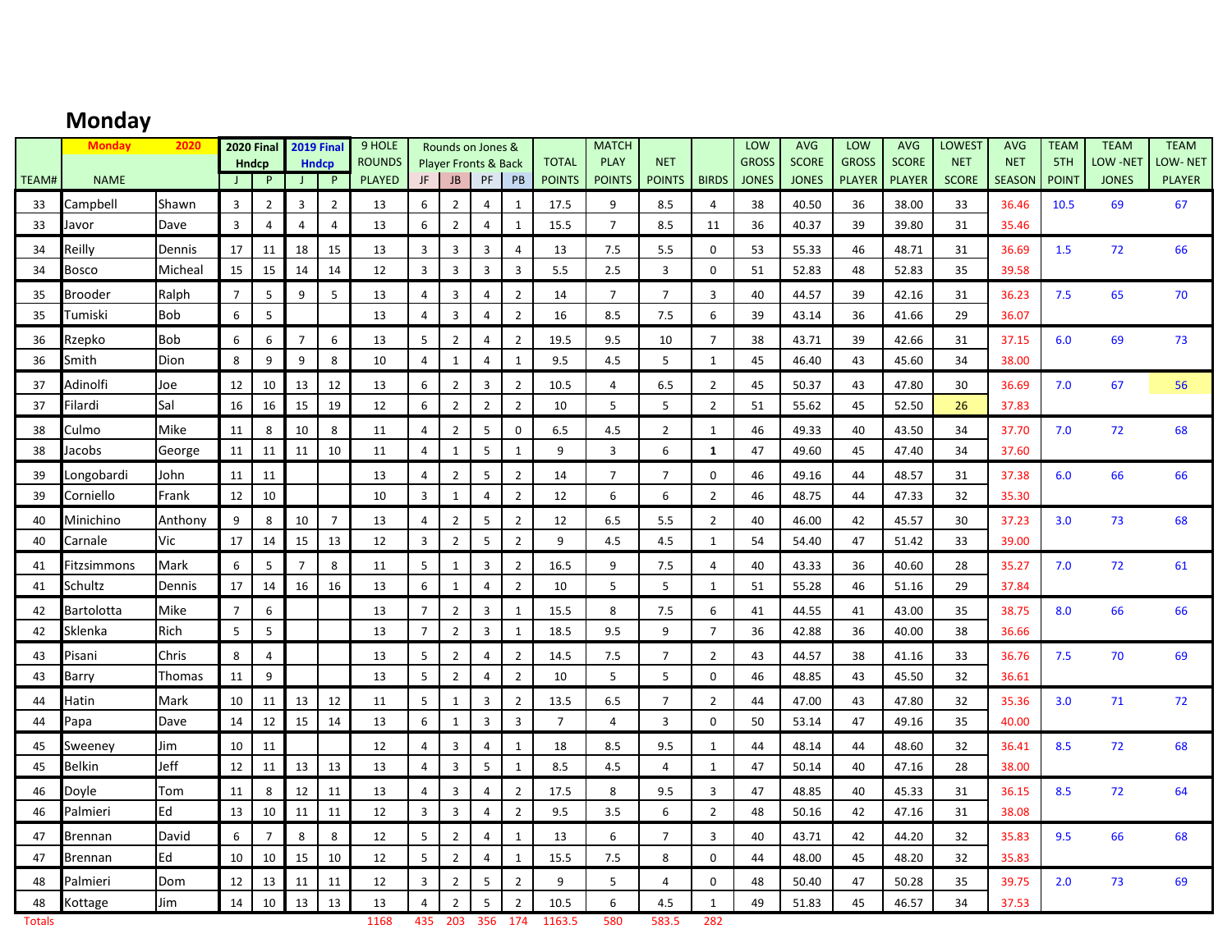# **Monday**

|               | <b>Monday</b>             | 2020                |                     | <b>2020 Final</b>                |                     | <b>2019 Final</b>                | 9 HOLE                         |                                  |                                  | Rounds on Jones &                     |                                  |                               | <b>MATCH</b>                 |                             |                                  | LOW                          | <b>AVG</b>                   | LOW                           | <b>AVG</b>                    | <b>LOWEST</b>              | <b>AVG</b>                  | <b>TEAM</b>         | <b>TEAM</b>              | <b>TEAM</b>              |
|---------------|---------------------------|---------------------|---------------------|----------------------------------|---------------------|----------------------------------|--------------------------------|----------------------------------|----------------------------------|---------------------------------------|----------------------------------|-------------------------------|------------------------------|-----------------------------|----------------------------------|------------------------------|------------------------------|-------------------------------|-------------------------------|----------------------------|-----------------------------|---------------------|--------------------------|--------------------------|
| TEAM#         | <b>NAME</b>               |                     |                     | <b>Hndcp</b><br>P                | J                   | <b>Hndcp</b><br>$\mathsf{P}$     | <b>ROUNDS</b><br><b>PLAYED</b> | JF                               | <b>JB</b>                        | <b>Player Fronts &amp; Back</b><br>PF | PB                               | <b>TOTAL</b><br><b>POINTS</b> | <b>PLAY</b><br><b>POINTS</b> | <b>NET</b><br><b>POINTS</b> | <b>BIRDS</b>                     | <b>GROSS</b><br><b>JONES</b> | <b>SCORE</b><br><b>JONES</b> | <b>GROSS</b><br><b>PLAYER</b> | <b>SCORE</b><br><b>PLAYER</b> | <b>NET</b><br><b>SCORE</b> | <b>NET</b><br><b>SEASON</b> | 5TH<br><b>POINT</b> | LOW -NET<br><b>JONES</b> | LOW-NET<br><b>PLAYER</b> |
|               |                           |                     |                     |                                  |                     |                                  |                                |                                  |                                  |                                       |                                  |                               |                              |                             |                                  |                              |                              |                               |                               |                            |                             |                     |                          |                          |
| 33            | Campbell                  | Shawn<br>Dave       | 3<br>$\overline{3}$ | $\overline{2}$<br>$\overline{4}$ | 3<br>$\overline{4}$ | $\overline{2}$<br>$\overline{4}$ | 13                             | 6<br>6                           | $\overline{2}$<br>$\overline{2}$ | $\overline{4}$<br>$\overline{4}$      | 1<br>$\mathbf{1}$                | 17.5                          | 9<br>$\overline{7}$          | 8.5                         | $\overline{4}$                   | 38                           | 40.50                        | 36                            | 38.00                         | 33                         | 36.46                       | 10.5                | 69                       | 67                       |
| 33            | Javor                     |                     |                     |                                  |                     |                                  | 13                             |                                  |                                  |                                       |                                  | 15.5                          |                              | 8.5                         | 11                               | 36                           | 40.37                        | 39                            | 39.80                         | 31                         | 35.46                       |                     |                          |                          |
| 34<br>34      | Reilly<br>Bosco           | Dennis<br>Micheal   | 17<br>15            | 11<br>15                         | 18<br>14            | 15<br>14                         | 13<br>12                       | 3<br>$\overline{3}$              | 3<br>3                           | $\overline{3}$<br>$\overline{3}$      | $\overline{4}$<br>$\overline{3}$ | 13<br>5.5                     | 7.5<br>2.5                   | 5.5<br>$\overline{3}$       | $\mathbf 0$<br>$\mathbf 0$       | 53<br>51                     | 55.33<br>52.83               | 46<br>48                      | 48.71<br>52.83                | 31<br>35                   | 36.69<br>39.58              | 1.5                 | 72                       | 66                       |
|               |                           |                     |                     |                                  |                     |                                  |                                |                                  |                                  |                                       |                                  |                               |                              |                             |                                  |                              |                              |                               |                               |                            |                             |                     |                          |                          |
| 35<br>35      | <b>Brooder</b><br>Tumiski | Ralph<br><b>Bob</b> | $\overline{7}$<br>6 | 5<br>5                           | 9                   | 5                                | 13<br>13                       | $\overline{4}$<br>$\overline{4}$ | 3<br>$\overline{3}$              | $\overline{4}$<br>$\overline{4}$      | $\overline{2}$<br>$\overline{2}$ | 14<br>16                      | $\overline{7}$<br>8.5        | $\overline{7}$<br>7.5       | 3<br>6                           | 40<br>39                     | 44.57<br>43.14               | 39<br>36                      | 42.16<br>41.66                | 31<br>29                   | 36.23<br>36.07              | 7.5                 | 65                       | 70                       |
|               |                           | <b>Bob</b>          | 6                   | 6                                | $\overline{7}$      | 6                                | 13                             | 5                                | $\overline{2}$                   | 4                                     | $\overline{2}$                   | 19.5                          | 9.5                          | 10                          | $\overline{7}$                   | 38                           | 43.71                        | 39                            |                               | 31                         | 37.15                       |                     | 69                       | 73                       |
| 36<br>36      | Rzepko<br>Smith           | Dion                | 8                   | 9                                | 9                   | 8                                | 10                             | 4                                | $\mathbf{1}$                     | 4                                     | $\mathbf{1}$                     | 9.5                           | 4.5                          | 5                           | $\mathbf{1}$                     | 45                           | 46.40                        | 43                            | 42.66<br>45.60                | 34                         | 38.00                       | 6.0                 |                          |                          |
|               | Adinolfi                  |                     |                     |                                  |                     | 12                               |                                |                                  |                                  |                                       |                                  |                               |                              |                             |                                  |                              |                              |                               |                               |                            |                             |                     |                          |                          |
| 37<br>37      | Filardi                   | Joe<br>Sal          | 12<br>16            | 10<br>16                         | 13<br>15            | 19                               | 13<br>12                       | 6<br>6                           | $\overline{2}$<br>$\overline{2}$ | $\mathbf{3}$<br>$\overline{2}$        | $\overline{2}$<br>$\overline{2}$ | 10.5<br>10                    | 4<br>5                       | 6.5<br>5                    | $\overline{2}$<br>$\overline{2}$ | 45<br>51                     | 50.37<br>55.62               | 43<br>45                      | 47.80<br>52.50                | 30<br>26                   | 36.69<br>37.83              | 7.0                 | 67                       | 56                       |
| 38            | Culmo                     | Mike                | 11                  | 8                                | 10                  | 8                                | 11                             | $\overline{a}$                   | $\overline{2}$                   | 5                                     | $\mathbf 0$                      | 6.5                           | 4.5                          | $\overline{2}$              | $\mathbf{1}$                     | 46                           | 49.33                        | 40                            | 43.50                         | 34                         | 37.70                       | 7.0                 | 72                       | 68                       |
| 38            | Jacobs                    | George              | 11                  | 11                               | 11                  | 10                               | 11                             | $\overline{a}$                   | $\mathbf{1}$                     | 5                                     | $\mathbf{1}$                     | 9                             | $\overline{3}$               | 6                           | 1                                | 47                           | 49.60                        | 45                            | 47.40                         | 34                         | 37.60                       |                     |                          |                          |
| 39            | Longobardi                | John                | 11                  | 11                               |                     |                                  | 13                             | 4                                | $\overline{2}$                   | 5                                     | $\overline{2}$                   | 14                            | $\overline{7}$               | $\overline{7}$              | $\mathbf 0$                      | 46                           | 49.16                        | 44                            | 48.57                         | 31                         | 37.38                       | 6.0                 | 66                       | 66                       |
| 39            | Corniello                 | Frank               | 12                  | 10                               |                     |                                  | 10                             | $\overline{3}$                   | $\mathbf{1}$                     | $\overline{4}$                        | $\overline{2}$                   | 12                            | 6                            | 6                           | $\overline{2}$                   | 46                           | 48.75                        | 44                            | 47.33                         | 32                         | 35.30                       |                     |                          |                          |
| 40            | Minichino                 | Anthony             | 9                   | 8                                | 10                  | $\overline{7}$                   | 13                             | $\overline{4}$                   | $\overline{2}$                   | 5                                     | $\overline{2}$                   | 12                            | 6.5                          | 5.5                         | $\overline{2}$                   | 40                           | 46.00                        | 42                            | 45.57                         | 30                         | 37.23                       | 3.0                 | 73                       | 68                       |
| 40            | Carnale                   | Vic                 | 17                  | 14                               | 15                  | 13                               | 12                             | $\overline{3}$                   | $\overline{2}$                   | 5                                     | $\overline{2}$                   | 9                             | 4.5                          | 4.5                         | $\mathbf{1}$                     | 54                           | 54.40                        | 47                            | 51.42                         | 33                         | 39.00                       |                     |                          |                          |
| 41            | -itzsimmons               | Mark                | 6                   | 5                                | $\overline{7}$      | 8                                | 11                             | 5                                | $\mathbf{1}$                     | $\overline{3}$                        | $\overline{2}$                   | 16.5                          | 9                            | 7.5                         | $\overline{4}$                   | 40                           | 43.33                        | 36                            | 40.60                         | 28                         | 35.27                       | 7.0                 | 72                       | 61                       |
| 41            | Schultz                   | Dennis              | 17                  | 14                               | 16                  | 16                               | 13                             | 6                                | $\mathbf{1}$                     | $\overline{4}$                        | $\overline{2}$                   | 10                            | 5                            | 5                           | $\mathbf{1}$                     | 51                           | 55.28                        | 46                            | 51.16                         | 29                         | 37.84                       |                     |                          |                          |
| 42            | <b>Bartolotta</b>         | Mike                | $\overline{7}$      | 6                                |                     |                                  | 13                             | $\overline{7}$                   | $\overline{2}$                   | $\overline{3}$                        | $\mathbf{1}$                     | 15.5                          | 8                            | 7.5                         | 6                                | 41                           | 44.55                        | 41                            | 43.00                         | 35                         | 38.75                       | 8.0                 | 66                       | 66                       |
| 42            | Sklenka                   | Rich                | 5                   | 5                                |                     |                                  | 13                             | $\overline{7}$                   | $\overline{2}$                   | $\overline{3}$                        | 1                                | 18.5                          | 9.5                          | 9                           | $\overline{7}$                   | 36                           | 42.88                        | 36                            | 40.00                         | 38                         | 36.66                       |                     |                          |                          |
| 43            | Pisani                    | Chris               | 8                   | $\overline{4}$                   |                     |                                  | 13                             | 5                                | $\overline{2}$                   | $\overline{4}$                        | $\overline{2}$                   | 14.5                          | 7.5                          | $\overline{7}$              | $\overline{2}$                   | 43                           | 44.57                        | 38                            | 41.16                         | 33                         | 36.76                       | 7.5                 | 70                       | 69                       |
| 43            | Barry                     | Thomas              | 11                  | 9                                |                     |                                  | 13                             | 5                                | $\overline{2}$                   | $\overline{4}$                        | $\overline{2}$                   | 10                            | 5                            | 5                           | $\mathbf 0$                      | 46                           | 48.85                        | 43                            | 45.50                         | 32                         | 36.61                       |                     |                          |                          |
| 44            | Hatin                     | Mark                | 10                  | 11                               | 13                  | 12                               | 11                             | 5                                | $\mathbf{1}$                     | $\overline{3}$                        | $\overline{2}$                   | 13.5                          | 6.5                          | $\overline{7}$              | $\overline{2}$                   | 44                           | 47.00                        | 43                            | 47.80                         | 32                         | 35.36                       | 3.0                 | 71                       | 72                       |
| 44            | Papa                      | Dave                | 14                  | 12                               | 15                  | 14                               | 13                             | 6                                | $\mathbf{1}$                     | $\overline{3}$                        | $\overline{3}$                   | $\overline{7}$                | $\overline{4}$               | $\overline{3}$              | $\mathbf 0$                      | 50                           | 53.14                        | 47                            | 49.16                         | 35                         | 40.00                       |                     |                          |                          |
| 45            | Sweenev                   | Jim                 | 10                  | 11                               |                     |                                  | 12                             | $\overline{a}$                   | 3                                | 4                                     | 1                                | 18                            | 8.5                          | 9.5                         | 1                                | 44                           | 48.14                        | 44                            | 48.60                         | 32                         | 36.41                       | 8.5                 | 72                       | 68                       |
| 45            | <b>Belkin</b>             | Jeff                | 12                  | 11                               | 13                  | 13                               | 13                             | $\overline{a}$                   | 3                                | 5                                     | $\mathbf{1}$                     | 8.5                           | 4.5                          | $\overline{4}$              | $\mathbf{1}$                     | 47                           | 50.14                        | 40                            | 47.16                         | 28                         | 38.00                       |                     |                          |                          |
| 46            | Doyle                     | Tom                 | 11                  | 8                                | 12                  | 11                               | 13                             | 4                                | 3                                | $\overline{4}$                        | $\overline{2}$                   | 17.5                          | 8                            | 9.5                         | 3                                | 47                           | 48.85                        | 40                            | 45.33                         | 31                         | 36.15                       | 8.5                 | 72                       | 64                       |
| 46            | Palmieri                  | Ed                  | 13                  | 10                               | 11                  | 11                               | 12                             | $\overline{3}$                   | $\overline{3}$                   | $\overline{4}$                        | $\overline{2}$                   | 9.5                           | 3.5                          | 6                           | $\overline{2}$                   | 48                           | 50.16                        | 42                            | 47.16                         | 31                         | 38.08                       |                     |                          |                          |
| 47            | Brennan                   | David               | 6                   | $\overline{7}$                   | 8                   | 8                                | 12                             | 5                                | $\overline{2}$                   | 4                                     | $\mathbf{1}$                     | 13                            | 6                            | $\overline{7}$              | 3                                | 40                           | 43.71                        | 42                            | 44.20                         | 32                         | 35.83                       | 9.5                 | 66                       | 68                       |
| 47            | <b>Brennan</b>            | Ed                  | 10                  | 10                               | 15                  | 10                               | 12                             | 5                                | $\overline{2}$                   | 4                                     | $\mathbf{1}$                     | 15.5                          | 7.5                          | 8                           | $\mathbf 0$                      | 44                           | 48.00                        | 45                            | 48.20                         | 32                         | 35.83                       |                     |                          |                          |
| 48            | Palmieri                  | Dom                 | 12                  | 13                               | 11                  | 11                               | 12                             | $\overline{3}$                   | $\overline{2}$                   | 5                                     | $\overline{2}$                   | 9                             | 5                            | 4                           | $\mathbf 0$                      | 48                           | 50.40                        | 47                            | 50.28                         | 35                         | 39.75                       | 2.0                 | 73                       | 69                       |
| 48            | Kottage                   | Jim                 | 14                  | 10                               | 13                  | 13                               | 13                             | $\overline{4}$                   | $\overline{2}$                   | 5                                     | $\overline{2}$                   | 10.5                          | 6                            | 4.5                         | $\mathbf{1}$                     | 49                           | 51.83                        | 45                            | 46.57                         | 34                         | 37.53                       |                     |                          |                          |
| <b>Totals</b> |                           |                     |                     |                                  |                     |                                  | 1168                           | 435                              | 203                              | 356                                   | 174                              | 1163.5                        | 580                          | 583.5                       | 282                              |                              |                              |                               |                               |                            |                             |                     |                          |                          |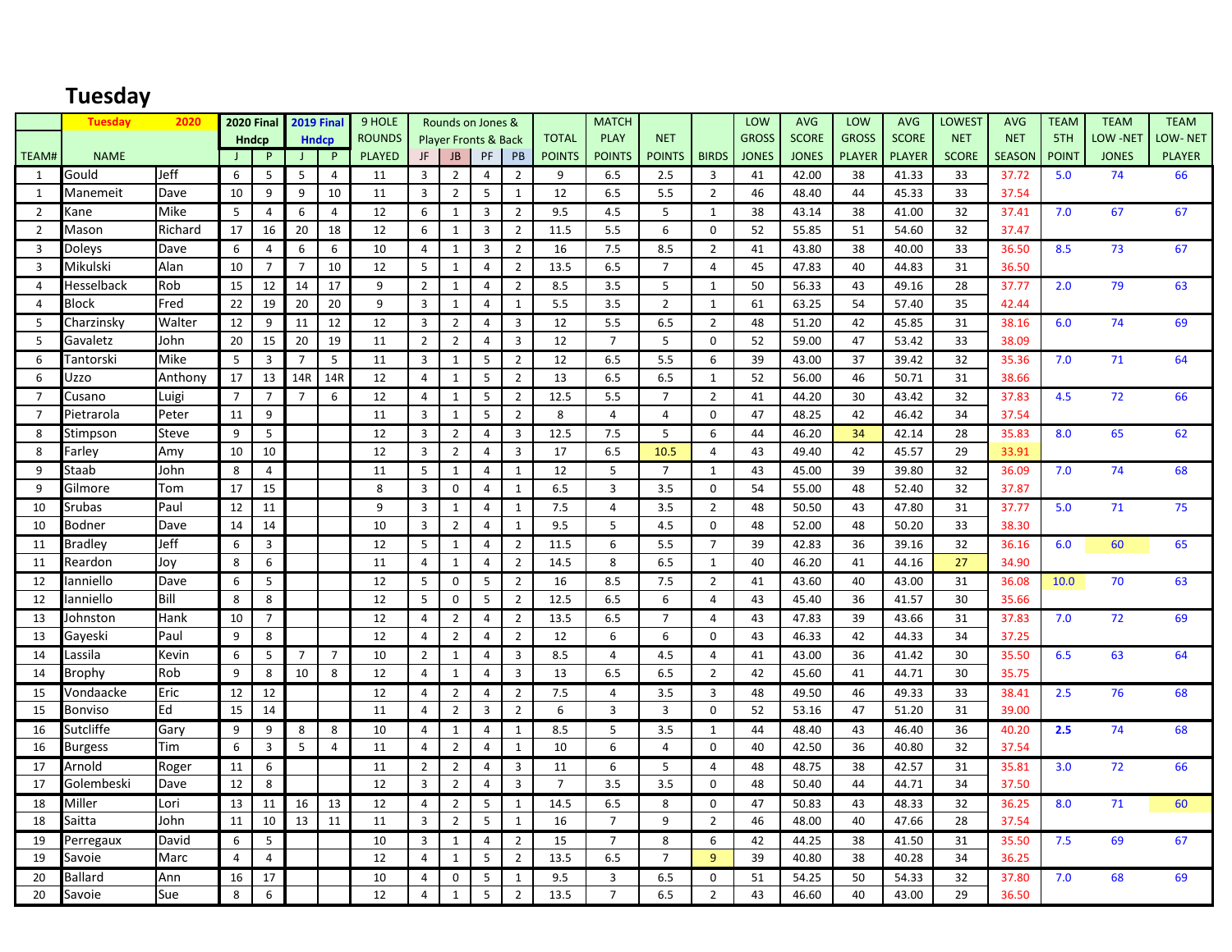# **Tuesday**

|                | <b>Tuesday</b> | 2020         | <b>2020 Final</b> |                |                | <b>2019 Final</b> | 9 HOLE        |                         |                | Rounds on Jones &               |                |                | <b>MATCH</b>   |                |                | LOW          | <b>AVG</b>   | LOW           | <b>AVG</b>    | LOWEST       | <b>AVG</b>    | <b>TEAM</b>  | <b>TEAM</b>     | <b>TEAM</b>    |
|----------------|----------------|--------------|-------------------|----------------|----------------|-------------------|---------------|-------------------------|----------------|---------------------------------|----------------|----------------|----------------|----------------|----------------|--------------|--------------|---------------|---------------|--------------|---------------|--------------|-----------------|----------------|
|                |                |              | <b>Hndcp</b>      |                |                | <b>Hndcp</b>      | <b>ROUNDS</b> |                         |                | <b>Player Fronts &amp; Back</b> |                | <b>TOTAL</b>   | <b>PLAY</b>    | <b>NET</b>     |                | <b>GROSS</b> | <b>SCORE</b> | <b>GROSS</b>  | <b>SCORE</b>  | <b>NET</b>   | <b>NET</b>    | 5TH          | <b>LOW -NET</b> | <b>LOW-NET</b> |
| TEAM#          | <b>NAME</b>    |              | $\mathsf{J}$      | P              | J.             | $\mathsf{P}$      | <b>PLAYED</b> | JF.                     | <b>JB</b>      | PF                              | PB             | <b>POINTS</b>  | <b>POINTS</b>  | <b>POINTS</b>  | <b>BIRDS</b>   | <b>JONES</b> | <b>JONES</b> | <b>PLAYER</b> | <b>PLAYER</b> | <b>SCORE</b> | <b>SEASON</b> | <b>POINT</b> | <b>JONES</b>    | <b>PLAYER</b>  |
| 1              | Gould          | Jeff         | 6                 | 5              | 5              | 4                 | 11            | 3                       | $\overline{2}$ | 4                               | $\overline{2}$ | 9              | 6.5            | 2.5            | 3              | 41           | 42.00        | 38            | 41.33         | 33           | 37.72         | 5.0          | 74              | 66             |
| 1              | Manemeit       | Dave         | 10                | 9              | 9              | 10                | 11            | $\overline{3}$          | $\overline{2}$ | 5                               | $\mathbf{1}$   | 12             | 6.5            | 5.5            | $\overline{2}$ | 46           | 48.40        | 44            | 45.33         | 33           | 37.54         |              |                 |                |
| 2              | Kane           | Mike         | 5                 | 4              | 6              | 4                 | 12            | 6                       | 1              | 3                               | $\overline{2}$ | 9.5            | 4.5            | 5              | 1              | 38           | 43.14        | 38            | 41.00         | 32           | 37.41         | 7.0          | 67              | 67             |
| $\overline{2}$ | Mason          | Richard      | 17                | 16             | 20             | 18                | 12            | 6                       | $\mathbf{1}$   | $\overline{3}$                  | $\overline{2}$ | 11.5           | 5.5            | 6              | $\Omega$       | 52           | 55.85        | 51            | 54.60         | 32           | 37.47         |              |                 |                |
| 3              | Doleys         | Dave         | 6                 | 4              | 6              | 6                 | 10            | 4                       | $\mathbf{1}$   | 3                               | $\overline{2}$ | 16             | 7.5            | 8.5            | $\overline{2}$ | 41           | 43.80        | 38            | 40.00         | 33           | 36.50         | 8.5          | 73              | 67             |
| 3              | Mikulski       | Alan         | 10                | $\overline{7}$ | $\overline{7}$ | 10                | 12            | 5                       | 1              | $\overline{4}$                  | $\overline{2}$ | 13.5           | 6.5            | $\overline{7}$ | $\overline{4}$ | 45           | 47.83        | 40            | 44.83         | 31           | 36.50         |              |                 |                |
| $\overline{4}$ | Hesselback     | Rob          | 15                | 12             | 14             | 17                | 9             | $\overline{2}$          | $\mathbf{1}$   | $\overline{4}$                  | $\overline{2}$ | 8.5            | 3.5            | 5              | $\mathbf{1}$   | 50           | 56.33        | 43            | 49.16         | 28           | 37.77         | 2.0          | 79              | 63             |
| $\overline{4}$ | <b>Block</b>   | Fred         | 22                | 19             | 20             | 20                | 9             | 3                       | $\mathbf{1}$   | 4                               | $\mathbf{1}$   | 5.5            | 3.5            | $\overline{2}$ | $\mathbf{1}$   | 61           | 63.25        | 54            | 57.40         | 35           | 42.44         |              |                 |                |
| 5              | Charzinsky     | Walter       | 12                | 9              | 11             | 12                | 12            | 3                       | $\overline{2}$ | $\overline{4}$                  | $\overline{3}$ | 12             | 5.5            | 6.5            | $\overline{2}$ | 48           | 51.20        | 42            | 45.85         | 31           | 38.16         | 6.0          | 74              | 69             |
| 5              | Gavaletz       | John         | 20                | 15             | 20             | 19                | 11            | $\overline{2}$          | $\overline{2}$ | 4                               | $\overline{3}$ | 12             | $\overline{7}$ | 5              | $\Omega$       | 52           | 59.00        | 47            | 53.42         | 33           | 38.09         |              |                 |                |
| 6              | Tantorski      | Mike         | -5                | 3              | $\overline{7}$ | 5                 | 11            | 3                       | 1              | 5                               | $\overline{2}$ | 12             | 6.5            | 5.5            | 6              | 39           | 43.00        | 37            | 39.42         | 32           | 35.36         | 7.0          | 71              | 64             |
| 6              | Uzzo           | Anthony      | 17                | 13             | 14R            | 14R               | 12            | $\overline{4}$          | $\mathbf{1}$   | 5                               | $\overline{2}$ | 13             | 6.5            | 6.5            | $\mathbf{1}$   | 52           | 56.00        | 46            | 50.71         | 31           | 38.66         |              |                 |                |
| $\overline{7}$ | Cusano         | Luigi        | $\overline{7}$    | $\overline{7}$ | $\overline{7}$ | 6                 | 12            | 4                       | $\mathbf{1}$   | 5                               | $\overline{2}$ | 12.5           | 5.5            | $\overline{7}$ | $\overline{2}$ | 41           | 44.20        | 30            | 43.42         | 32           | 37.83         | 4.5          | 72              | 66             |
| $\overline{7}$ | Pietrarola     | Peter        | 11                | 9              |                |                   | 11            | $\overline{3}$          | $\mathbf{1}$   | 5                               | $\overline{2}$ | 8              | $\overline{4}$ | $\overline{4}$ | $\mathbf 0$    | 47           | 48.25        | 42            | 46.42         | 34           | 37.54         |              |                 |                |
| 8              | Stimpson       | <b>Steve</b> | 9                 | 5              |                |                   | 12            | $\overline{3}$          | $\overline{2}$ | $\overline{4}$                  | $\overline{3}$ | 12.5           | 7.5            | 5              | 6              | 44           | 46.20        | 34            | 42.14         | 28           | 35.83         | 8.0          | 65              | 62             |
| 8              | Farley         | Amy          | 10                | 10             |                |                   | 12            | 3                       | $\overline{2}$ | 4                               | $\overline{3}$ | 17             | 6.5            | 10.5           | 4              | 43           | 49.40        | 42            | 45.57         | 29           | 33.91         |              |                 |                |
| 9              | Staab          | John         | 8                 | $\overline{4}$ |                |                   | 11            | 5                       | $\mathbf{1}$   | $\overline{4}$                  | 1              | 12             | 5              | $\overline{7}$ | $\mathbf{1}$   | 43           | 45.00        | 39            | 39.80         | 32           | 36.09         | 7.0          | 74              | 68             |
| 9              | Gilmore        | Tom          | 17                | 15             |                |                   | 8             | $\overline{\mathbf{3}}$ | $\pmb{0}$      | $\overline{4}$                  | $\mathbf{1}$   | 6.5            | $\mathsf 3$    | 3.5            | $\mathbf 0$    | 54           | 55.00        | 48            | 52.40         | 32           | 37.87         |              |                 |                |
| 10             | Srubas         | Paul         | 12                | 11             |                |                   | 9             | 3                       | 1              | 4                               | 1              | 7.5            | $\overline{4}$ | 3.5            | $\overline{2}$ | 48           | 50.50        | 43            | 47.80         | 31           | 37.77         | 5.0          | 71              | 75             |
| 10             | Bodner         | Dave         | 14                | 14             |                |                   | 10            | $\overline{3}$          | $\overline{2}$ | $\overline{4}$                  | $\mathbf{1}$   | 9.5            | 5              | 4.5            | $\mathbf 0$    | 48           | 52.00        | 48            | 50.20         | 33           | 38.30         |              |                 |                |
| 11             | <b>Bradley</b> | Jeff         | 6                 | 3              |                |                   | 12            | 5                       | $\mathbf{1}$   | $\overline{4}$                  | $\overline{2}$ | 11.5           | 6              | 5.5            | $\overline{7}$ | 39           | 42.83        | 36            | 39.16         | 32           | 36.16         | 6.0          | 60              | 65             |
| 11             | Reardon        | Joy          | 8                 | 6              |                |                   | 11            | $\overline{4}$          | $\mathbf{1}$   | $\overline{4}$                  | $\overline{2}$ | 14.5           | 8              | 6.5            | $\mathbf{1}$   | 40           | 46.20        | 41            | 44.16         | 27           | 34.90         |              |                 |                |
| 12             | anniello       | Dave         | 6                 | 5              |                |                   | 12            | 5                       | 0              | 5                               | $\overline{2}$ | 16             | 8.5            | 7.5            | $\overline{2}$ | 41           | 43.60        | 40            | 43.00         | 31           | 36.08         | 10.0         | 70              | 63             |
| 12             | Ianniello      | Bill         | 8                 | 8              |                |                   | 12            | 5                       | $\mathbf 0$    | 5                               | $\overline{2}$ | 12.5           | 6.5            | 6              | $\overline{4}$ | 43           | 45.40        | 36            | 41.57         | 30           | 35.66         |              |                 |                |
| 13             | Johnston       | Hank         | 10                | $\overline{7}$ |                |                   | 12            | $\overline{4}$          | $\overline{2}$ | 4                               | $\overline{2}$ | 13.5           | 6.5            | $\overline{7}$ | $\overline{4}$ | 43           | 47.83        | 39            | 43.66         | 31           | 37.83         | 7.0          | 72              | 69             |
| 13             | Gayeski        | Paul         | 9                 | 8              |                |                   | 12            | $\overline{4}$          | $\overline{2}$ | 4                               | $\overline{2}$ | 12             | 6              | 6              | $\mathbf 0$    | 43           | 46.33        | 42            | 44.33         | 34           | 37.25         |              |                 |                |
| 14             | Lassila        | Kevin        | 6                 | 5              | $\overline{7}$ | $\overline{7}$    | 10            | $\overline{2}$          | $\mathbf{1}$   | 4                               | 3              | 8.5            | $\overline{4}$ | 4.5            | 4              | 41           | 43.00        | 36            | 41.42         | 30           | 35.50         | 6.5          | 63              | 64             |
| 14             | Brophy         | Rob          | 9                 | 8              | 10             | 8                 | 12            | $\overline{4}$          | $\mathbf{1}$   | 4                               | $\overline{3}$ | 13             | 6.5            | 6.5            | $\overline{2}$ | 42           | 45.60        | 41            | 44.71         | 30           | 35.75         |              |                 |                |
| 15             | Vondaacke      | Eric         | 12                | 12             |                |                   | 12            | 4                       | $\overline{2}$ | $\overline{4}$                  | $\overline{2}$ | 7.5            | $\overline{4}$ | 3.5            | 3              | 48           | 49.50        | 46            | 49.33         | 33           | 38.41         | 2.5          | 76              | 68             |
| 15             | <b>Bonviso</b> | Ed           | 15                | 14             |                |                   | 11            | $\overline{4}$          | $\overline{2}$ | 3                               | $\overline{2}$ | 6              | $\overline{3}$ | $\overline{3}$ | $\mathbf 0$    | 52           | 53.16        | 47            | 51.20         | 31           | 39.00         |              |                 |                |
| 16             | Sutcliffe      | Gary         | 9                 | 9              | 8              | 8                 | 10            | 4                       | $\mathbf{1}$   | $\overline{4}$                  | 1              | 8.5            | 5              | 3.5            | 1              | 44           | 48.40        | 43            | 46.40         | 36           | 40.20         | 2.5          | 74              | 68             |
| 16             | <b>Burgess</b> | Tim          | 6                 | $\overline{3}$ | 5              | $\overline{4}$    | 11            | $\overline{4}$          | $\overline{2}$ | $\overline{4}$                  | $\mathbf{1}$   | 10             | 6              | $\overline{4}$ | $\mathbf 0$    | 40           | 42.50        | 36            | 40.80         | 32           | 37.54         |              |                 |                |
| 17             | Arnold         | Roger        | 11                | 6              |                |                   | 11            | $\overline{2}$          | $\overline{2}$ | $\overline{4}$                  | $\overline{3}$ | 11             | 6              | 5              | $\overline{a}$ | 48           | 48.75        | 38            | 42.57         | 31           | 35.81         | 3.0          | 72              | 66             |
| 17             | Golembeski     | Dave         | 12                | 8              |                |                   | 12            | 3                       | $\overline{2}$ | 4                               | $\overline{3}$ | $\overline{7}$ | 3.5            | 3.5            | 0              | 48           | 50.40        | 44            | 44.71         | 34           | 37.50         |              |                 |                |
| 18             | Miller         | Lori         | 13                | 11             | 16             | 13                | 12            | $\overline{4}$          | $\overline{2}$ | 5                               | $\mathbf{1}$   | 14.5           | 6.5            | 8              | $\mathbf 0$    | 47           | 50.83        | 43            | 48.33         | 32           | 36.25         | 8.0          | 71              | 60             |
| 18             | Saitta         | John         | 11                | 10             | 13             | 11                | 11            | 3                       | $\overline{2}$ | 5                               | $\mathbf{1}$   | 16             | $\overline{7}$ | 9              | $\overline{2}$ | 46           | 48.00        | 40            | 47.66         | 28           | 37.54         |              |                 |                |
| 19             | Perregaux      | David        | 6                 | 5              |                |                   | 10            | 3                       | 1              | 4                               | $\overline{2}$ | 15             | $\overline{7}$ | 8              | 6              | 42           | 44.25        | 38            | 41.50         | 31           | 35.50         | 7.5          | 69              | 67             |
| 19             | Savoie         | Marc         | $\overline{4}$    | $\overline{4}$ |                |                   | 12            | $\overline{4}$          | $\mathbf{1}$   | 5                               | $\overline{2}$ | 13.5           | 6.5            | $\overline{7}$ | $\overline{9}$ | 39           | 40.80        | 38            | 40.28         | 34           | 36.25         |              |                 |                |
| 20             | <b>Ballard</b> | Ann          | 16                | 17             |                |                   | 10            | $\overline{a}$          | 0              | 5                               | $\mathbf{1}$   | 9.5            | 3              | 6.5            | $\Omega$       | 51           | 54.25        | 50            | 54.33         | 32           | 37.80         | 7.0          | 68              | 69             |
| 20             | Savoie         | Sue          | 8                 | 6              |                |                   | 12            | $\overline{4}$          | $\mathbf{1}$   | 5                               | $\overline{2}$ | 13.5           | $\overline{7}$ | 6.5            | $\overline{2}$ | 43           | 46.60        | 40            | 43.00         | 29           | 36.50         |              |                 |                |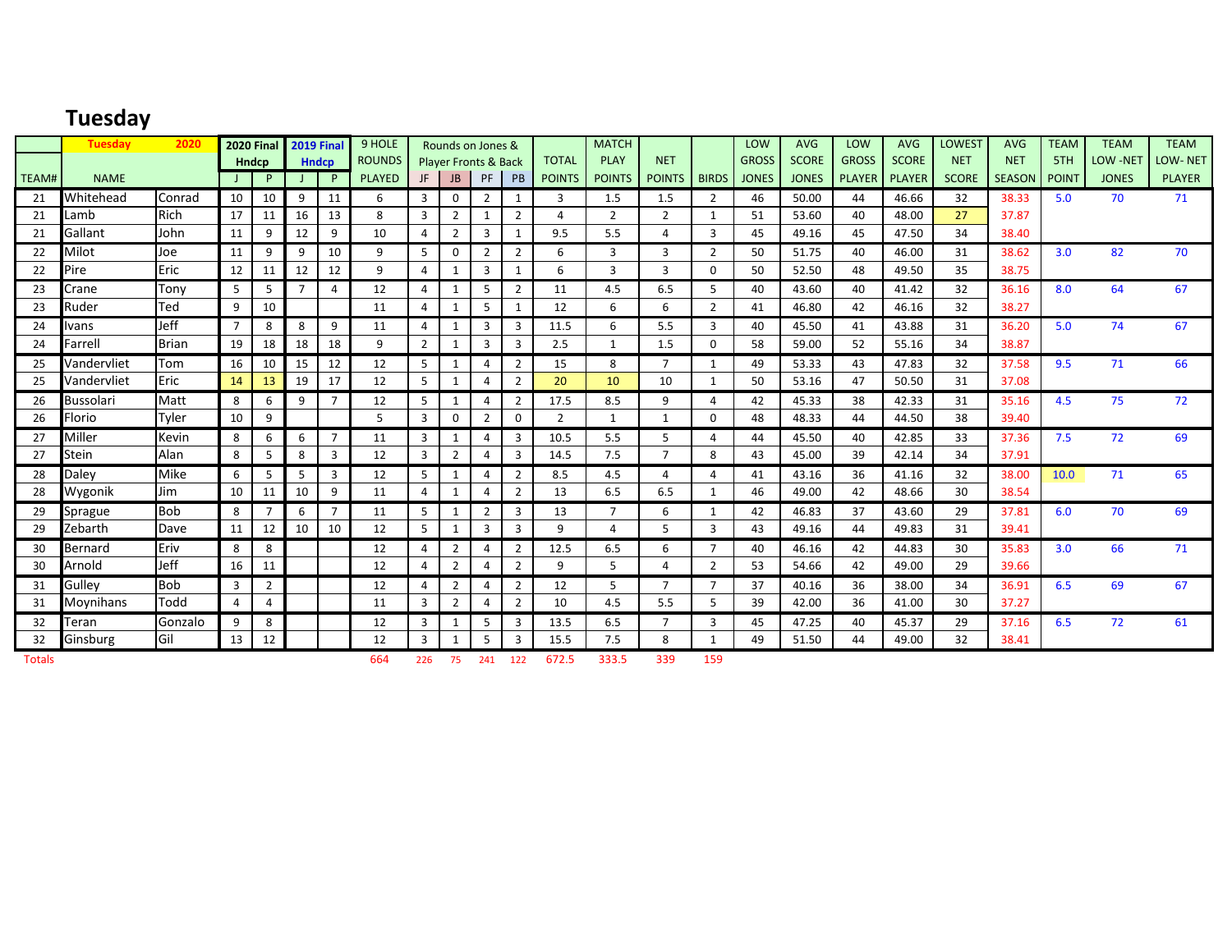#### **Tuesday**

|       | <b>Tuesday</b>   | 2020         |                |                | 2020 Final 2019 Final |                | 9 HOLE        |                | Rounds on Jones &               |                |                |                | <b>MATCH</b>   |                |                         | LOW          | <b>AVG</b>   | LOW           | <b>AVG</b>   | <b>LOWEST</b> | <b>AVG</b> | <b>TEAM</b> | <b>TEAM</b>     | <b>TEAM</b>   |
|-------|------------------|--------------|----------------|----------------|-----------------------|----------------|---------------|----------------|---------------------------------|----------------|----------------|----------------|----------------|----------------|-------------------------|--------------|--------------|---------------|--------------|---------------|------------|-------------|-----------------|---------------|
|       |                  |              |                | <b>Hndcp</b>   |                       | <b>Hndcp</b>   | <b>ROUNDS</b> |                | <b>Player Fronts &amp; Back</b> |                |                | <b>TOTAL</b>   | <b>PLAY</b>    | <b>NET</b>     |                         | <b>GROSS</b> | <b>SCORE</b> | <b>GROSS</b>  | <b>SCORE</b> | <b>NET</b>    | <b>NET</b> | 5TH         | <b>LOW -NET</b> | LOW-NET       |
| TEAM# | <b>NAME</b>      |              |                | P              |                       | P.             | <b>PLAYED</b> | JF             | <b>JB</b>                       | PF             | PB             | <b>POINTS</b>  | <b>POINTS</b>  | POINTS   BIRDS |                         | <b>JONES</b> | <b>JONES</b> | <b>PLAYER</b> | PLAYER       | <b>SCORE</b>  | SEASON     | POINT       | <b>JONES</b>    | <b>PLAYER</b> |
| 21    | Whitehead        | Conrad       | 10             | 10             | 9                     | 11             | 6             | 3              | $\mathbf 0$                     | $\overline{2}$ | 1              | 3              | 1.5            | 1.5            | $\overline{2}$          | 46           | 50.00        | 44            | 46.66        | 32            | 38.33      | 5.0         | 70              | 71            |
| 21    | Lamb             | <b>Rich</b>  | 17             | 11             | 16                    | 13             | 8             | 3              | $\overline{2}$                  |                | $\overline{2}$ | 4              | 2              | 2              |                         | 51           | 53.60        | 40            | 48.00        | 27            | 37.87      |             |                 |               |
| 21    | Gallant          | John         | 11             | 9              | 12                    | 9              | 10            | 4              | $\overline{2}$                  | 3              | $\mathbf{1}$   | 9.5            | 5.5            | 4              | 3                       | 45           | 49.16        | 45            | 47.50        | 34            | 38.40      |             |                 |               |
| 22    | Milot            | Joe          | 11             | 9              | 9                     | 10             | 9             | 5              | $\mathbf 0$                     | $\overline{2}$ | $\overline{2}$ | 6              | 3              | 3              | $\overline{2}$          | 50           | 51.75        | 40            | 46.00        | 31            | 38.62      | 3.0         | 82              | 70            |
| 22    | Pire             | Eric         | 12             | 11             | 12                    | 12             | 9             | $\overline{a}$ | $\mathbf{1}$                    | 3              | $\mathbf{1}$   | 6              | 3              | 3              | $\Omega$                | 50           | 52.50        | 48            | 49.50        | 35            | 38.75      |             |                 |               |
| 23    | Crane            | Tony         | $5^{\circ}$    | 5              | $\overline{ }$        | 4              | 12            | 4              | -1                              | 5              | $\overline{2}$ | 11             | 4.5            | 6.5            |                         | 40           | 43.60        | 40            | 41.42        | 32            | 36.16      | 8.0         | 64              | 67            |
| 23    | Ruder            | Ted          | 9              | 10             |                       |                | 11            | 4              | -1                              | 5              |                | 12             | 6              | 6              | $\overline{2}$          | 41           | 46.80        | 42            | 46.16        | 32            | 38.27      |             |                 |               |
| 24    | Ivans            | Jeff         | $\overline{7}$ | 8              | 8                     | 9              | 11            | $\overline{a}$ | -1                              | $\overline{3}$ | $\overline{3}$ | 11.5           | 6              | 5.5            | 3                       | 40           | 45.50        | 41            | 43.88        | 31            | 36.20      | 5.0         | 74              | 67            |
| 24    | Farrell          | <b>Brian</b> | 19             | 18             | 18                    | 18             | 9             | 2              | 1                               | 3              | 3              | 2.5            | $\mathbf{1}$   | 1.5            | $\Omega$                | 58           | 59.00        | 52            | 55.16        | 34            | 38.87      |             |                 |               |
| 25    | Vandervliet      | Tom          | 16             | 10             | 15                    | 12             | 12            | 5              | $\mathbf{1}$                    | 4              | $\overline{2}$ | 15             | 8              | $\overline{7}$ | $\overline{\mathbf{1}}$ | 49           | 53.33        | 43            | 47.83        | 32            | 37.58      | 9.5         | 71              | 66            |
| 25    | Vandervliet      | Eric         | 14             | 13             | 19                    | 17             | 12            | 5              | $\mathbf{1}$                    | $\overline{4}$ | $\overline{2}$ | 20             | 10             | 10             |                         | 50           | 53.16        | 47            | 50.50        | 31            | 37.08      |             |                 |               |
| 26    | <b>Bussolari</b> | Matt         | 8              | 6              | 9                     | $\overline{7}$ | 12            | 5              | 1                               | $\overline{4}$ | $\overline{2}$ | 17.5           | 8.5            | 9              | Δ                       | 42           | 45.33        | 38            | 42.33        | 31            | 35.16      | 4.5         | 75              | 72            |
| 26    | Florio           | Tyler        | 10             | 9              |                       |                | 5             | 3              | 0                               | $\overline{2}$ | 0              | $\overline{2}$ | $\mathbf{1}$   | $\mathbf{1}$   | $\Omega$                | 48           | 48.33        | 44            | 44.50        | 38            | 39.40      |             |                 |               |
| 27    | Miller           | Kevin        | 8              | 6              | 6                     | $\overline{7}$ | 11            | 3              | -1                              | $\overline{4}$ | $\overline{3}$ | 10.5           | 5.5            | 5              | $\Delta$                | 44           | 45.50        | 40            | 42.85        | 33            | 37.36      | 7.5         | 72              | 69            |
| 27    | Stein            | Alan         | 8              | 5              | 8                     | $\overline{3}$ | 12            | 3              | $\overline{2}$                  | $\overline{4}$ | 3              | 14.5           | 7.5            | $\overline{7}$ | 8                       | 43           | 45.00        | 39            | 42.14        | 34            | 37.91      |             |                 |               |
| 28    | Daley            | <b>Mike</b>  | 6              | 5              | 5                     | 3              | 12            | 5              | -1                              | 4              | $\overline{2}$ | 8.5            | 4.5            | $\overline{a}$ | Δ                       | 41           | 43.16        | 36            | 41.16        | 32            | 38.00      | 10.0        | 71              | 65            |
| 28    | Wygonik          | Jim          | 10             | 11             | 10                    | 9              | 11            | 4              | $\mathbf{1}$                    | $\overline{4}$ | $\overline{2}$ | 13             | 6.5            | 6.5            |                         | 46           | 49.00        | 42            | 48.66        | 30            | 38.54      |             |                 |               |
| 29    | Sprague          | <b>Bob</b>   | 8              | $\overline{7}$ | 6                     | $\overline{7}$ | 11            | 5              | $\overline{1}$                  | $\overline{2}$ | 3              | 13             | $\overline{7}$ | 6              | $\mathbf{1}$            | 42           | 46.83        | 37            | 43.60        | 29            | 37.81      | 6.0         | 70              | 69            |
| 29    | Zebarth          | Dave         | 11             | 12             | 10                    | 10             | 12            | 5              | 1                               | 3              | 3              | 9              | $\overline{a}$ | 5              | 3                       | 43           | 49.16        | 44            | 49.83        | 31            | 39.41      |             |                 |               |
| 30    | Bernard          | Eriv         | 8              | 8              |                       |                | 12            | 4              | $\overline{2}$                  | $\overline{4}$ | $\overline{2}$ | 12.5           | 6.5            | 6              | $\overline{7}$          | 40           | 46.16        | 42            | 44.83        | 30            | 35.83      | 3.0         | 66              | 71            |
| 30    | Arnold           | Jeff         | 16             | 11             |                       |                | 12            | $\Delta$       | $\overline{2}$                  | $\overline{4}$ | $\overline{2}$ | 9              | 5              | 4              | $\overline{2}$          | 53           | 54.66        | 42            | 49.00        | 29            | 39.66      |             |                 |               |
| 31    | Gullev           | <b>Bob</b>   | 3              | $\overline{2}$ |                       |                | 12            | 4              | $\overline{2}$                  | 4              | $\overline{2}$ | 12             | 5              | $\overline{7}$ | $\overline{7}$          | 37           | 40.16        | 36            | 38.00        | 34            | 36.91      | 6.5         | 69              | 67            |
| 31    | Moynihans        | Todd         | 4              | 4              |                       |                | 11            | 3              | $\overline{2}$                  | 4              | $\overline{2}$ | 10             | 4.5            | 5.5            | 5                       | 39           | 42.00        | 36            | 41.00        | 30            | 37.27      |             |                 |               |
| 32    | Teran            | Gonzalo      | 9              | 8              |                       |                | 12            | 3              | 1                               | 5              | 3              | 13.5           | 6.5            | $\overline{7}$ | 3                       | 45           | 47.25        | 40            | 45.37        | 29            | 37.16      | 6.5         | 72              | 61            |
| 32    | Ginsburg         | Gil          | 13             | 12             |                       |                | 12            | 3              | -1                              | 5              | 3              | 15.5           | 7.5            | 8              |                         | 49           | 51.50        | 44            | 49.00        | 32            | 38.41      |             |                 |               |

Totals 664 226 75 241 122 672.5 333.5 339 159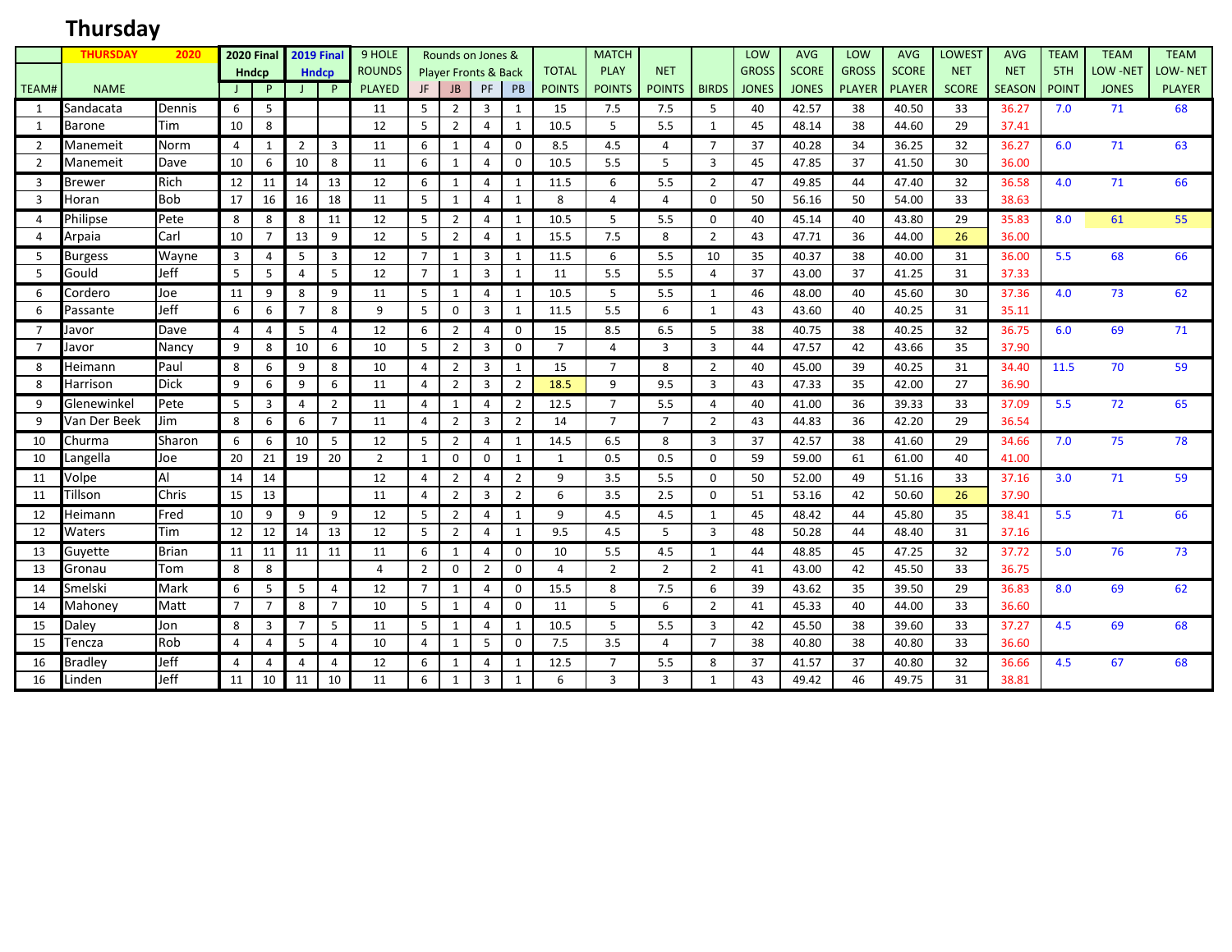# **Thursday**

|                | <b>THURSDAY</b> | 2020         |                | 2020 Final <b>I</b> |                | <b>2019 Final</b> | 9 HOLE         |                |                | Rounds on Jones &               |                |                | <b>MATCH</b>   |                |                | LOW          | <b>AVG</b>   | LOW           | <b>AVG</b>    | <b>LOWEST</b> | <b>AVG</b>    | <b>TEAM</b> | <b>TEAM</b>  | <b>TEAM</b>    |
|----------------|-----------------|--------------|----------------|---------------------|----------------|-------------------|----------------|----------------|----------------|---------------------------------|----------------|----------------|----------------|----------------|----------------|--------------|--------------|---------------|---------------|---------------|---------------|-------------|--------------|----------------|
|                |                 |              |                | <b>Hndcp</b>        |                | <b>Hndcp</b>      | <b>ROUNDS</b>  |                |                | <b>Player Fronts &amp; Back</b> |                | <b>TOTAL</b>   | <b>PLAY</b>    | <b>NET</b>     |                | <b>GROSS</b> | <b>SCORE</b> | <b>GROSS</b>  | <b>SCORE</b>  | <b>NET</b>    | <b>NET</b>    | 5TH         | LOW -NET     | <b>LOW-NET</b> |
| TEAM#          | <b>NAME</b>     |              |                | P                   |                | P                 | <b>PLAYED</b>  | JF             | <b>JB</b>      | PF                              | PB             | <b>POINTS</b>  | <b>POINTS</b>  | <b>POINTS</b>  | <b>BIRDS</b>   | <b>JONES</b> | <b>JONES</b> | <b>PLAYER</b> | <b>PLAYER</b> | <b>SCORE</b>  | <b>SEASON</b> | POINT       | <b>JONES</b> | <b>PLAYER</b>  |
| 1              | Sandacata       | Dennis       | 6              | 5                   |                |                   | 11             | -5             | $\overline{2}$ | 3                               | 1              | 15             | 7.5            | 7.5            | 5              | 40           | 42.57        | 38            | 40.50         | 33            | 36.27         | 7.0         | 71           | 68             |
| -1             | <b>Barone</b>   | Tim          | 10             | 8                   |                |                   | 12             | 5              | $\overline{2}$ | 4                               | 1              | 10.5           | 5              | 5.5            | 1              | 45           | 48.14        | 38            | 44.60         | 29            | 37.41         |             |              |                |
| $\overline{2}$ | Manemeit        | Norm         | $\overline{a}$ | $\mathbf{1}$        | $\overline{2}$ | $\overline{3}$    | 11             | 6              | 1              | $\overline{4}$                  | $\overline{0}$ | 8.5            | 4.5            | 4              | $\overline{7}$ | 37           | 40.28        | 34            | 36.25         | 32            | 36.27         | 6.0         | 71           | 63             |
| $\overline{2}$ | Manemeit        | Dave         | 10             | 6                   | 10             | 8                 | 11             | 6              | 1              | 4                               | $\mathbf 0$    | 10.5           | 5.5            | 5              | $\overline{3}$ | 45           | 47.85        | 37            | 41.50         | 30            | 36.00         |             |              |                |
| 3              | <b>Brewer</b>   | Rich         | 12             | 11                  | 14             | 13                | 12             | 6              | 1              | 4                               | 1              | 11.5           | 6              | 5.5            | 2              | 47           | 49.85        | 44            | 47.40         | 32            | 36.58         | 4.0         | 71           | 66             |
| $\overline{3}$ | Horan           | <b>Bob</b>   | 17             | 16                  | 16             | 18                | 11             | 5              | $\mathbf{1}$   | 4                               | $\mathbf{1}$   | 8              | 4              | 4              | 0              | 50           | 56.16        | 50            | 54.00         | 33            | 38.63         |             |              |                |
| $\overline{4}$ | Philipse        | Pete         | 8              | 8                   | 8              | 11                | 12             | -5             | $\overline{2}$ | 4                               | $\mathbf{1}$   | 10.5           | 5              | 5.5            | $\Omega$       | 40           | 45.14        | 40            | 43.80         | 29            | 35.83         | 8.0         | 61           | 55             |
| $\overline{4}$ | Arpaia          | Carl         | 10             | $\overline{7}$      | 13             | 9                 | 12             | 5              | $\overline{2}$ | $\overline{4}$                  | $\mathbf{1}$   | 15.5           | 7.5            | 8              | $\overline{2}$ | 43           | 47.71        | 36            | 44.00         | 26            | 36.00         |             |              |                |
| 5              | <b>Burgess</b>  | Wayne        | 3              | 4                   | 5              | 3                 | 12             | $\overline{7}$ | 1              | 3                               | 1              | 11.5           | 6              | 5.5            | 10             | 35           | 40.37        | 38            | 40.00         | 31            | 36.00         | 5.5         | 68           | 66             |
| 5              | Gould           | Jeff         | 5              | 5                   | 4              | 5                 | 12             | $\overline{7}$ | $\mathbf{1}$   | $\overline{3}$                  | 1              | 11             | 5.5            | 5.5            | 4              | 37           | 43.00        | 37            | 41.25         | 31            | 37.33         |             |              |                |
| 6              | Cordero         | Joe          | 11             | 9                   | 8              | 9                 | 11             | 5              | 1              | 4                               | 1              | 10.5           | 5              | 5.5            | 1              | 46           | 48.00        | 40            | 45.60         | 30            | 37.36         | 4.0         | 73           | 62             |
| 6              | Passante        | Jeff         | 6              | 6                   | $\overline{7}$ | 8                 | 9              | -5             | $\Omega$       | 3                               | 1              | 11.5           | 5.5            | 6              | 1              | 43           | 43.60        | 40            | 40.25         | 31            | 35.11         |             |              |                |
| $\overline{7}$ | Javor           | Dave         | 4              | 4                   | 5              | 4                 | 12             | 6              | $\overline{2}$ | 4                               | 0              | 15             | 8.5            | 6.5            | 5              | 38           | 40.75        | 38            | 40.25         | 32            | 36.75         | 6.0         | 69           | 71             |
| $\overline{7}$ | lavor           | Nancy        | 9              | 8                   | 10             | 6                 | 10             | -5             | 2              | $\overline{3}$                  | $\mathbf 0$    | $\overline{7}$ | 4              | 3              | 3              | 44           | 47.57        | 42            | 43.66         | 35            | 37.90         |             |              |                |
| 8              | Heimann         | Paul         | 8              | 6                   | 9              | 8                 | 10             | $\overline{4}$ | $\overline{2}$ | 3                               | 1              | 15             | $\overline{7}$ | 8              | 2              | 40           | 45.00        | 39            | 40.25         | 31            | 34.40         | 11.5        | 70           | 59             |
| 8              | Harrison        | <b>Dick</b>  | 9              | 6                   | 9              | 6                 | 11             | 4              | $\overline{2}$ | 3                               | $\overline{2}$ | 18.5           | 9              | 9.5            | 3              | 43           | 47.33        | 35            | 42.00         | 27            | 36.90         |             |              |                |
| 9              | Glenewinkel     | Pete         | 5              | 3                   | 4              | $\overline{2}$    | 11             | 4              | 1              | 4                               | $\overline{2}$ | 12.5           | $\overline{7}$ | 5.5            | 4              | 40           | 41.00        | 36            | 39.33         | 33            | 37.09         | 5.5         | 72           | 65             |
| 9              | Van Der Beek    | Jim          | 8              | 6                   | 6              | $\overline{7}$    | 11             | $\overline{4}$ | $\overline{2}$ | 3                               | $\overline{2}$ | 14             | $\overline{7}$ | $\overline{7}$ | $\overline{2}$ | 43           | 44.83        | 36            | 42.20         | 29            | 36.54         |             |              |                |
| 10             | Churma          | Sharon       | 6              | 6                   | 10             | 5                 | 12             | 5              | $\overline{2}$ | $\overline{4}$                  | 1              | 14.5           | 6.5            | 8              | $\overline{3}$ | 37           | 42.57        | 38            | 41.60         | 29            | 34.66         | 7.0         | 75           | 78             |
| 10             | Langella        | Joe          | 20             | 21                  | 19             | 20                | $\overline{2}$ | 1              | $\mathbf 0$    | 0                               | -1             | $\mathbf{1}$   | 0.5            | 0.5            | 0              | 59           | 59.00        | 61            | 61.00         | 40            | 41.00         |             |              |                |
| 11             | Volpe           | Al           | 14             | 14                  |                |                   | 12             | $\overline{4}$ | $\overline{2}$ | 4                               | $\overline{2}$ | 9              | 3.5            | 5.5            | $\Omega$       | 50           | 52.00        | 49            | 51.16         | 33            | 37.16         | 3.0         | 71           | 59             |
| 11             | <b>Fillson</b>  | Chris        | 15             | 13                  |                |                   | 11             | $\overline{4}$ | $\overline{2}$ | $\overline{3}$                  | $\overline{2}$ | 6              | 3.5            | 2.5            | 0              | 51           | 53.16        | 42            | 50.60         | 26            | 37.90         |             |              |                |
| 12             | Heimann         | Fred         | 10             | 9                   | 9              | 9                 | 12             | -5             | $\overline{2}$ | 4                               | 1              | 9              | 4.5            | 4.5            | $\mathbf{1}$   | 45           | 48.42        | 44            | 45.80         | 35            | 38.41         | 5.5         | 71           | 66             |
| 12             | Waters          | <b>Tim</b>   | 12             | 12                  | 14             | 13                | 12             | 5              | $\overline{2}$ | $\overline{4}$                  | $\mathbf{1}$   | 9.5            | 4.5            | 5              | 3              | 48           | 50.28        | 44            | 48.40         | 31            | 37.16         |             |              |                |
| 13             | Guyette         | <b>Brian</b> | 11             | 11                  | 11             | 11                | 11             | 6              | 1              | 4                               | $\mathbf 0$    | 10             | 5.5            | 4.5            | 1              | 44           | 48.85        | 45            | 47.25         | 32            | 37.72         | 5.0         | 76           | 73             |
| 13             | Gronau          | Tom          | 8              | 8                   |                |                   | $\overline{a}$ | $\overline{2}$ | $\mathbf 0$    | $\overline{2}$                  | $\mathbf 0$    | $\overline{4}$ | $\overline{2}$ | $\overline{2}$ | $\overline{2}$ | 41           | 43.00        | 42            | 45.50         | 33            | 36.75         |             |              |                |
| 14             | Smelski         | Mark         | 6              | 5                   | 5              | $\overline{4}$    | 12             | $\overline{7}$ | 1              | 4                               | 0              | 15.5           | 8              | 7.5            | 6              | 39           | 43.62        | 35            | 39.50         | 29            | 36.83         | 8.0         | 69           | 62             |
| 14             | Mahoney         | Matt         | $\overline{7}$ | $\overline{7}$      | 8              | $\overline{7}$    | 10             | 5              | $\mathbf{1}$   | 4                               | 0              | 11             | 5              | 6              | $\overline{2}$ | 41           | 45.33        | 40            | 44.00         | 33            | 36.60         |             |              |                |
| 15             | Daley           | Jon          | 8              | 3                   | $\overline{7}$ | 5                 | 11             | 5              | 1              | 4                               | 1              | 10.5           | 5              | 5.5            | 3              | 42           | 45.50        | 38            | 39.60         | 33            | 37.27         | 4.5         | 69           | 68             |
| 15             | Tencza          | Rob          | $\overline{a}$ | $\overline{4}$      | 5              | 4                 | 10             | $\overline{4}$ | $\mathbf{1}$   | 5                               | $\mathbf 0$    | 7.5            | 3.5            | 4              | $\overline{7}$ | 38           | 40.80        | 38            | 40.80         | 33            | 36.60         |             |              |                |
| 16             | Bradley         | Jeff         | 4              | 4                   | 4              | 4                 | 12             | 6              | 1              | 4                               | $\mathbf{1}$   | 12.5           | $\overline{7}$ | 5.5            | 8              | 37           | 41.57        | 37            | 40.80         | 32            | 36.66         | 4.5         | 67           | 68             |
| 16             | Linden          | Jeff         | 11             | 10                  | 11             | 10                | 11             | 6              | $\mathbf{1}$   | 3                               | 1              | 6              | 3              | 3              | $\mathbf{1}$   | 43           | 49.42        | 46            | 49.75         | 31            | 38.81         |             |              |                |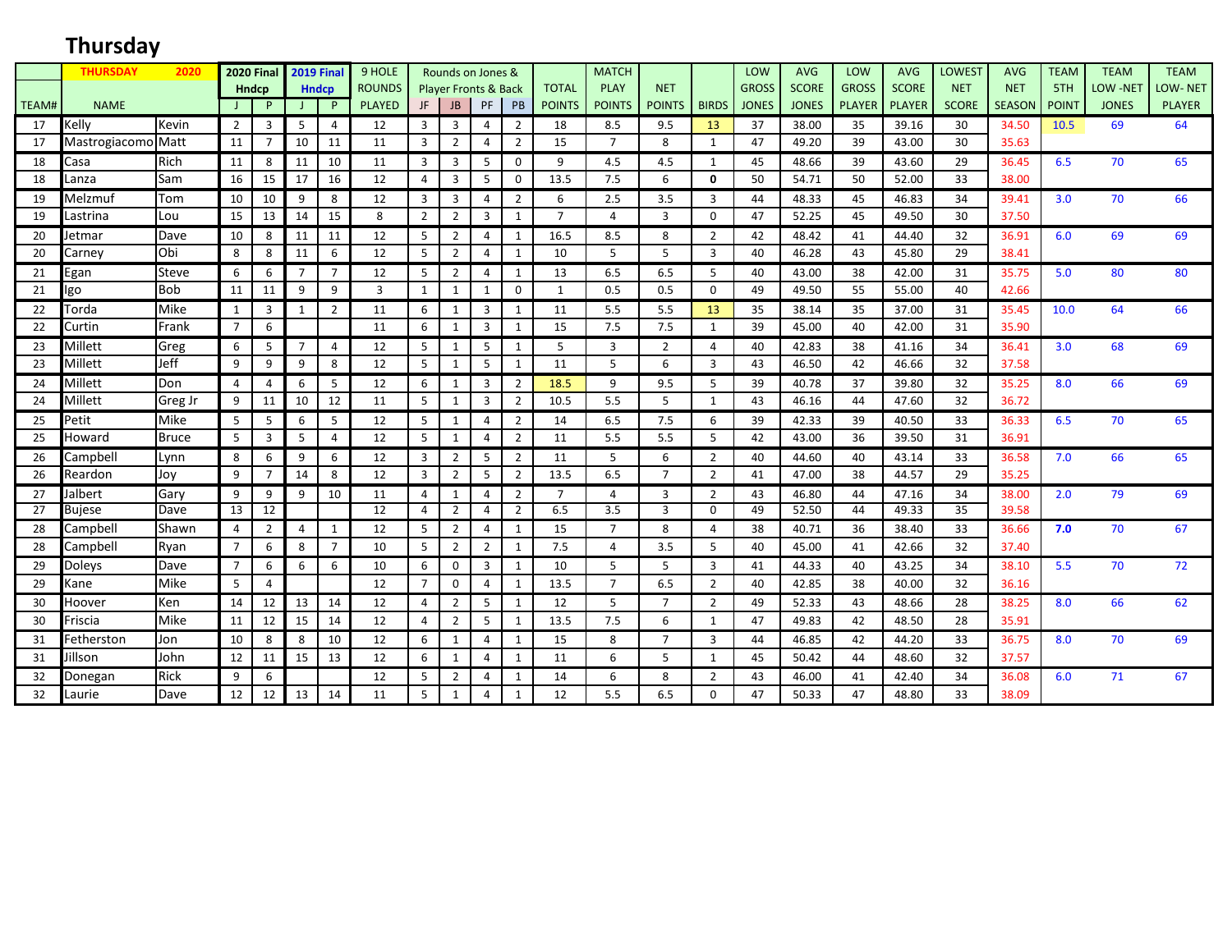# **Thursday**

|              | <b>THURSDAY</b>    | 2020         |                 | <b>2020 Final</b> |                | <b>2019 Final</b> | 9 HOLE          |                | Rounds on Jones &               |                |                |                | <b>MATCH</b>   |                |                | LOW          | <b>AVG</b>   | LOW           | <b>AVG</b>    | <b>LOWEST</b> | <b>AVG</b>    | <b>TEAM</b>  | <b>TEAM</b>     | <b>TEAM</b>    |
|--------------|--------------------|--------------|-----------------|-------------------|----------------|-------------------|-----------------|----------------|---------------------------------|----------------|----------------|----------------|----------------|----------------|----------------|--------------|--------------|---------------|---------------|---------------|---------------|--------------|-----------------|----------------|
|              |                    |              |                 | <b>Hndcp</b>      |                | <b>Hndcp</b>      | <b>ROUNDS</b>   |                | <b>Player Fronts &amp; Back</b> |                |                | <b>TOTAL</b>   | <b>PLAY</b>    | <b>NET</b>     |                | <b>GROSS</b> | <b>SCORE</b> | <b>GROSS</b>  | <b>SCORE</b>  | <b>NET</b>    | <b>NET</b>    | 5TH          | <b>LOW -NET</b> | <b>LOW-NET</b> |
| <b>TEAM#</b> | <b>NAME</b>        |              |                 | P                 |                | P                 | <b>PLAYED</b>   | JF             | <b>JB</b>                       | <b>PF</b>      | PB             | <b>POINTS</b>  | <b>POINTS</b>  | <b>POINTS</b>  | <b>BIRDS</b>   | <b>JONES</b> | <b>JONES</b> | <b>PLAYER</b> | <b>PLAYER</b> | <b>SCORE</b>  | <b>SEASON</b> | <b>POINT</b> | <b>JONES</b>    | <b>PLAYER</b>  |
| 17           | Kelly              | Kevin        | $\overline{2}$  | 3                 | 5              | 4                 | 12              | 3              | 3                               | $\overline{4}$ | 2              | 18             | 8.5            | 9.5            | 13             | 37           | 38.00        | 35            | 39.16         | 30            | 34.50         | 10.5         | 69              | 64             |
| 17           | Mastrogiacomo Matt |              | 11              | $\overline{7}$    | 10             | 11                | 11              | $\overline{3}$ | 2                               | $\overline{4}$ | $\overline{2}$ | 15             | $\overline{7}$ | 8              | 1              | 47           | 49.20        | 39            | 43.00         | 30            | 35.63         |              |                 |                |
| 18           | Casa               | Rich         | 11              | 8                 | 11             | 10                | 11              | 3              | 3                               | 5              | $\mathbf 0$    | 9              | 4.5            | 4.5            | 1              | 45           | 48.66        | 39            | 43.60         | 29            | 36.45         | 6.5          | 70              | 65             |
| 18           | Lanza              | Sam          | 16              | 15                | 17             | 16                | 12              | $\overline{4}$ | 3                               | 5              | $\mathbf{0}$   | 13.5           | 7.5            | 6              | 0              | 50           | 54.71        | 50            | 52.00         | 33            | 38.00         |              |                 |                |
| 19           | Melzmuf            | Tom          | 10              | 10                | 9              | 8                 | 12              | 3              | 3                               | $\overline{4}$ | 2              | 6              | 2.5            | 3.5            | 3              | 44           | 48.33        | 45            | 46.83         | 34            | 39.41         | 3.0          | 70              | 66             |
| 19           | Lastrina           | Lou          | 15              | 13                | 14             | 15                | 8               | $\overline{2}$ | $\overline{2}$                  | 3              | $\mathbf{1}$   | $\overline{7}$ | $\overline{4}$ | $\overline{3}$ | $\Omega$       | 47           | 52.25        | 45            | 49.50         | 30            | 37.50         |              |                 |                |
| 20           | Jetmar             | Dave         | 10              | 8                 | 11             | 11                | 12              | 5              | $\overline{2}$                  | $\overline{4}$ | 1              | 16.5           | 8.5            | 8              | 2              | 42           | 48.42        | 41            | 44.40         | 32            | 36.91         | 6.0          | 69              | 69             |
| 20           | Carney             | Obi          | 8               | 8                 | 11             | 6                 | 12              | 5              | $\overline{2}$                  | $\overline{4}$ | $\mathbf{1}$   | 10             | 5              | 5              | 3              | 40           | 46.28        | 43            | 45.80         | 29            | 38.41         |              |                 |                |
| 21           | Egan               | Steve        | 6               | 6                 | $\overline{7}$ | $\overline{7}$    | 12              | 5              | $\overline{2}$                  | $\overline{a}$ | 1              | 13             | 6.5            | 6.5            | 5              | 40           | 43.00        | 38            | 42.00         | 31            | 35.75         | 5.0          | 80              | 80             |
| 21           | lgo                | <b>Bob</b>   | 11              | 11                | 9              | 9                 | $\overline{3}$  | 1              | 1                               | $\mathbf{1}$   | $\mathbf 0$    | $\mathbf{1}$   | 0.5            | 0.5            | 0              | 49           | 49.50        | 55            | 55.00         | 40            | 42.66         |              |                 |                |
| 22           | Torda              | Mike         | 1               | 3                 | $\overline{1}$ | $\overline{2}$    | 11              | 6              | 1                               | 3              | 1              | 11             | 5.5            | 5.5            | 13             | 35           | 38.14        | 35            | 37.00         | 31            | 35.45         | 10.0         | 64              | 66             |
| 22           | Curtin             | Frank        | $\overline{7}$  | 6                 |                |                   | 11              | 6              | $\mathbf{1}$                    | 3              | $\mathbf{1}$   | 15             | 7.5            | 7.5            | 1              | 39           | 45.00        | 40            | 42.00         | 31            | 35.90         |              |                 |                |
| 23           | Millett            | Greg         | 6               | 5                 | $\overline{7}$ | 4                 | 12              | 5              | $\mathbf{1}$                    | 5              | $\mathbf{1}$   | 5              | 3              | $\overline{2}$ | 4              | 40           | 42.83        | 38            | 41.16         | 34            | 36.41         | 3.0          | 68              | 69             |
| 23           | Millett            | Jeff         | 9               | 9                 | 9              | 8                 | 12              | 5              | 1                               | 5              | $\mathbf{1}$   | 11             | 5              | 6              | 3              | 43           | 46.50        | 42            | 46.66         | 32            | 37.58         |              |                 |                |
| 24           | Millett            | Don          | 4               | $\overline{4}$    | 6              | 5                 | 12              | 6              | 1                               | 3              | $\overline{2}$ | 18.5           | 9              | 9.5            | 5              | 39           | 40.78        | 37            | 39.80         | 32            | 35.25         | 8.0          | 66              | 69             |
| 24           | Millett            | Greg Jr      | 9               | 11                | 10             | 12                | 11              | 5              | $\mathbf{1}$                    | 3              | $\overline{2}$ | 10.5           | 5.5            | 5              | 1              | 43           | 46.16        | 44            | 47.60         | 32            | 36.72         |              |                 |                |
| 25           | Petit              | Mike         | 5               | 5                 | 6              | 5                 | 12              | 5              | 1                               | 4              | $\overline{2}$ | 14             | 6.5            | 7.5            | 6              | 39           | 42.33        | 39            | 40.50         | 33            | 36.33         | 6.5          | 70              | 65             |
| 25           | Howard             | <b>Bruce</b> | 5               | 3                 | 5              | 4                 | 12              | 5              | 1                               | 4              | $\overline{2}$ | 11             | 5.5            | 5.5            | 5              | 42           | 43.00        | 36            | 39.50         | 31            | 36.91         |              |                 |                |
| 26           | Campbell           | Lynn         | 8               | 6                 | 9              | 6                 | 12              | 3              | $\overline{2}$                  | 5              | 2              | 11             | 5              | 6              | $\overline{2}$ | 40           | 44.60        | 40            | 43.14         | 33            | 36.58         | 7.0          | 66              | 65             |
| 26           | Reardon            | Joy          | 9               | $\overline{7}$    | 14             | 8                 | 12              | 3              | $\overline{2}$                  | 5              | $\overline{2}$ | 13.5           | 6.5            | $\overline{7}$ | $\overline{2}$ | 41           | 47.00        | 38            | 44.57         | 29            | 35.25         |              |                 |                |
| 27           | Jalbert            | Gary         | 9               | 9                 | 9              | 10                | 11              | $\overline{4}$ | 1                               | $\overline{4}$ | $\overline{2}$ | $\overline{7}$ | $\overline{4}$ | 3              | $\overline{2}$ | 43           | 46.80        | 44            | 47.16         | 34            | 38.00         | 2.0          | 79              | 69             |
| 27           | <b>Bujese</b>      | Dave         | $\overline{13}$ | $\overline{12}$   |                |                   | $\overline{12}$ | $\overline{4}$ | $\overline{2}$                  | 4              | $\overline{2}$ | 6.5            | 3.5            | 3              | 0              | 49           | 52.50        | 44            | 49.33         | 35            | 39.58         |              |                 |                |
| 28           | Campbell           | Shawn        | $\overline{4}$  | $\overline{2}$    | 4              | $\mathbf{1}$      | 12              | 5              | $\overline{2}$                  | 4              | $\mathbf{1}$   | 15             | $\overline{7}$ | 8              | 4              | 38           | 40.71        | 36            | 38.40         | 33            | 36.66         | 7.0          | 70              | 67             |
| 28           | Campbell           | Ryan         | $\overline{7}$  | 6                 | 8              | $\overline{7}$    | 10              | 5              | $\overline{2}$                  | $\overline{2}$ | 1              | 7.5            | 4              | 3.5            | 5              | 40           | 45.00        | 41            | 42.66         | 32            | 37.40         |              |                 |                |
| 29           | Doleys             | Dave         | $\overline{7}$  | 6                 | 6              | 6                 | 10              | 6              | $\mathbf 0$                     | 3              | $\mathbf{1}$   | 10             | 5              | 5              | 3              | 41           | 44.33        | 40            | 43.25         | 34            | 38.10         | 5.5          | 70              | 72             |
| 29           | Kane               | Mike         | 5               | 4                 |                |                   | 12              | $\overline{7}$ | $\Omega$                        | $\overline{4}$ | 1              | 13.5           | $\overline{7}$ | 6.5            | $\overline{2}$ | 40           | 42.85        | 38            | 40.00         | 32            | 36.16         |              |                 |                |
| 30           | Hoover             | Ken          | 14              | 12                | 13             | 14                | 12              | $\overline{4}$ | 2                               | 5              | 1              | 12             | 5              | $\overline{7}$ | $\overline{2}$ | 49           | 52.33        | 43            | 48.66         | 28            | 38.25         | 8.0          | 66              | 62             |
| 30           | Friscia            | Mike         | 11              | 12                | 15             | 14                | 12              | 4              | $\overline{2}$                  | 5              | 1              | 13.5           | 7.5            | 6              | 1              | 47           | 49.83        | 42            | 48.50         | 28            | 35.91         |              |                 |                |
| 31           | Fetherston         | Jon          | 10              | 8                 | 8              | 10                | 12              | 6              | 1                               | $\overline{4}$ | $\mathbf{1}$   | 15             | 8              | $\overline{7}$ | 3              | 44           | 46.85        | 42            | 44.20         | 33            | 36.75         | 8.0          | 70              | 69             |
| 31           | Jillson            | John         | 12              | 11                | 15             | 13                | 12              | 6              | 1                               | $\overline{4}$ | $\mathbf{1}$   | 11             | 6              | 5              | 1              | 45           | 50.42        | 44            | 48.60         | 32            | 37.57         |              |                 |                |
| 32           | Donegan            | <b>Rick</b>  | 9               | 6                 |                |                   | 12              | 5              | 2                               | $\overline{4}$ | $\mathbf{1}$   | 14             | 6              | 8              | $\overline{2}$ | 43           | 46.00        | 41            | 42.40         | 34            | 36.08         | 6.0          | 71              | 67             |
| 32           | Laurie             | Dave         | 12              | 12                | 13             | 14                | 11              | 5              | $\mathbf{1}$                    | $\overline{4}$ | $\mathbf{1}$   | 12             | 5.5            | 6.5            | 0              | 47           | 50.33        | 47            | 48.80         | 33            | 38.09         |              |                 |                |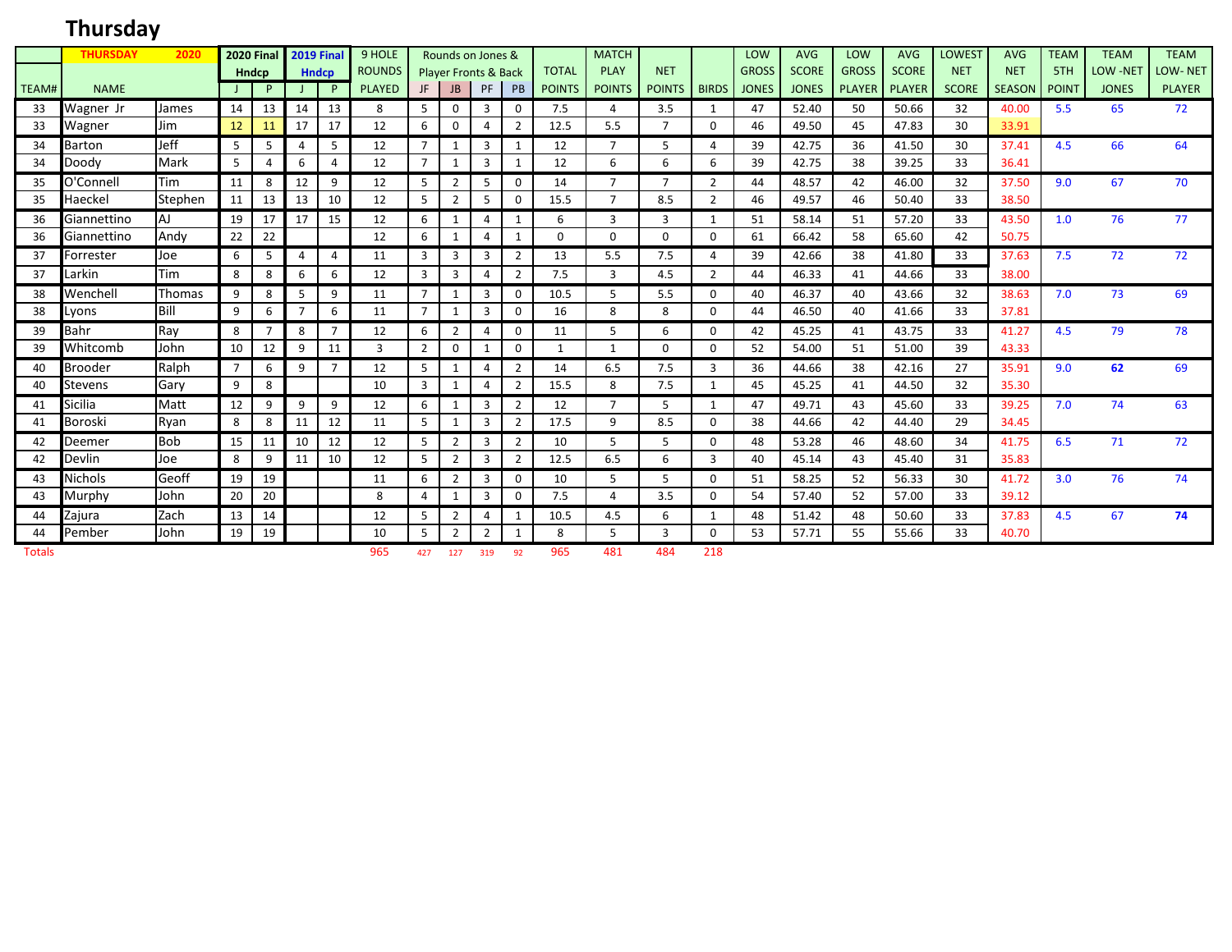## **Thursday**

|               | <b>THURSDAY</b> | 2020          |                | <b>2020 Final</b> |    | <b>2019 Final</b> | 9 HOLE        |                |                | Rounds on Jones &               |                |               | <b>MATCH</b>   |                         |                | LOW          | <b>AVG</b>   | LOW                  | <b>AVG</b>   | <b>LOWEST</b> | <b>AVG</b>    | <b>TEAM</b>  | <b>TEAM</b>     | <b>TEAM</b>    |
|---------------|-----------------|---------------|----------------|-------------------|----|-------------------|---------------|----------------|----------------|---------------------------------|----------------|---------------|----------------|-------------------------|----------------|--------------|--------------|----------------------|--------------|---------------|---------------|--------------|-----------------|----------------|
|               |                 |               |                | Hndcp             |    | <b>Hndcp</b>      | <b>ROUNDS</b> |                |                | <b>Player Fronts &amp; Back</b> |                | <b>TOTAL</b>  | <b>PLAY</b>    | <b>NET</b>              |                | <b>GROSS</b> | <b>SCORE</b> | <b>GROSS</b>         | <b>SCORE</b> | <b>NET</b>    | <b>NET</b>    | 5TH          | <b>LOW -NET</b> | <b>LOW-NET</b> |
| TEAM#         | <b>NAME</b>     |               |                | P.                |    | P.                | <b>PLAYED</b> | JF             | JB             | PF                              | PB             | <b>POINTS</b> | <b>POINTS</b>  | POINTS                  | <b>BIRDS</b>   | <b>JONES</b> | <b>JONES</b> | <b>PLAYER PLAYER</b> |              | <b>SCORE</b>  | <b>SEASON</b> | <b>POINT</b> | <b>JONES</b>    | <b>PLAYER</b>  |
| 33            | Wagner Jr       | James         | 14             | 13                | 14 | 13                | 8             | 5              | 0              | 3                               | 0              | 7.5           | Δ              | 3.5                     | 1              | 47           | 52.40        | 50                   | 50.66        | 32            | 40.00         | 5.5          | 65              | 72             |
| 33            | Wagner          | Jim           | 12             | 11                | 17 | 17                | 12            | 6              | $\Omega$       | 4                               | $\overline{2}$ | 12.5          | 5.5            | 7                       | $\Omega$       | 46           | 49.50        | 45                   | 47.83        | 30            | 33.91         |              |                 |                |
| 34            | Barton          | Jeff          | 5              | 5                 | 4  | 5                 | 12            | $\overline{7}$ | -1             | 3                               | -1             | 12            | $\overline{7}$ | 5                       | $\overline{4}$ | 39           | 42.75        | 36                   | 41.50        | 30            | 37.41         | 4.5          | 66              | 64             |
| 34            | Doody           | Mark          | 5              | 4                 | 6  | 4                 | 12            | $\overline{7}$ | $\mathbf{1}$   | 3                               | $\mathbf{1}$   | 12            | 6              | 6                       | 6              | 39           | 42.75        | 38                   | 39.25        | 33            | 36.41         |              |                 |                |
| 35            | O'Connell       | <b>Tim</b>    | 11             | 8                 | 12 | 9                 | 12            | 5              | $\overline{2}$ | 5                               | 0              | 14            | $\overline{7}$ | $\overline{7}$          | $\overline{2}$ | 44           | 48.57        | 42                   | 46.00        | 32            | 37.50         | 9.0          | 67              | 70             |
| 35            | Haeckel         | Stephen       | 11             | 13                | 13 | 10                | 12            | 5              | 2              | 5                               | 0              | 15.5          | 7              | 8.5                     | 2              | 46           | 49.57        | 46                   | 50.40        | 33            | 38.50         |              |                 |                |
| 36            | Giannettino     | <b>AJ</b>     | 19             | 17                | 17 | 15                | 12            | 6              | 1              | 4                               | -1             | 6             | 3              | 3                       | 1              | 51           | 58.14        | 51                   | 57.20        | 33            | 43.50         | 1.0          | 76              | 77             |
| 36            | Giannettino     | Andy          | 22             | 22                |    |                   | 12            | 6              |                | 4                               | -1             | 0             | $\Omega$       | 0                       | 0              | 61           | 66.42        | 58                   | 65.60        | 42            | 50.75         |              |                 |                |
| 37            | Forrester       | Joe           | 6              | 5                 | 4  | 4                 | 11            | 3              | 3              | 3                               | 2              | 13            | 5.5            | 7.5                     | $\overline{4}$ | 39           | 42.66        | 38                   | 41.80        | 33            | 37.63         | 7.5          | 72              | 72             |
| 37            | Larkin          | Tim           | 8              | 8                 | 6  | 6                 | 12            | 3              | 3              | 4                               | $\overline{2}$ | 7.5           | $\overline{3}$ | 4.5                     | $\overline{2}$ | 44           | 46.33        | 41                   | 44.66        | 33            | 38.00         |              |                 |                |
| 38            | Wenchell        | <b>Thomas</b> | 9              | 8                 | 5  | 9                 | 11            | $\overline{7}$ | $\mathbf{1}$   | 3                               | $\mathbf 0$    | 10.5          | 5              | 5.5                     | $\mathbf 0$    | 40           | 46.37        | 40                   | 43.66        | 32            | 38.63         | 7.0          | 73              | 69             |
| 38            | Lyons           | Bill          | 9              | 6                 |    | 6                 | 11            | 7              | 1              | 3                               | 0              | 16            | 8              | 8                       | 0              | 44           | 46.50        | 40                   | 41.66        | 33            | 37.81         |              |                 |                |
| 39            | Bahr            | Ray           | 8              | $\overline{7}$    | 8  | $\overline{7}$    | 12            | 6              | $\overline{2}$ | 4                               | 0              | 11            | 5              | 6                       | $\Omega$       | 42           | 45.25        | 41                   | 43.75        | 33            | 41.27         | 4.5          | 79              | 78             |
| 39            | Whitcomb        | John          | 10             | 12                | 9  | 11                | 3             | 2              | 0              | $\mathbf{1}$                    | $\mathbf 0$    | 1             | $\mathbf{1}$   | $\mathbf 0$             | $\mathbf 0$    | 52           | 54.00        | 51                   | 51.00        | 39            | 43.33         |              |                 |                |
| 40            | Brooder         | Ralph         | $\overline{7}$ | 6                 | 9  | $\overline{7}$    | 12            | 5              | $\mathbf{1}$   | $\overline{4}$                  | $\overline{2}$ | 14            | 6.5            | 7.5                     | $\mathbf{3}$   | 36           | 44.66        | 38                   | 42.16        | 27            | 35.91         | 9.0          | 62              | 69             |
| 40            | Stevens         | Gary          | 9              | 8                 |    |                   | 10            | 3              | 1              | 4                               | $\overline{2}$ | 15.5          | 8              | 7.5                     | 1              | 45           | 45.25        | 41                   | 44.50        | 32            | 35.30         |              |                 |                |
| 41            | Sicilia         | Matt          | 12             | 9                 | 9  | 9                 | 12            | 6              | -1             | 3                               | $\overline{2}$ | 12            | $\overline{7}$ | 5                       | 1              | 47           | 49.71        | 43                   | 45.60        | 33            | 39.25         | 7.0          | 74              | 63             |
| 41            | Boroski         | Ryan          | 8              | 8                 | 11 | 12                | 11            | 5              | 1              | 3                               | $\overline{2}$ | 17.5          | 9              | 8.5                     | $\mathbf 0$    | 38           | 44.66        | 42                   | 44.40        | 29            | 34.45         |              |                 |                |
| 42            | Deemer          | <b>Bob</b>    | 15             | 11                | 10 | 12                | 12            | -5             | 2              | 3                               | $\overline{2}$ | 10            | 5              | 5                       | 0              | 48           | 53.28        | 46                   | 48.60        | 34            | 41.75         | 6.5          | 71              | 72             |
| 42            | Devlin          | Joe           | 8              | 9                 | 11 | 10                | 12            | 5              | 2              | 3                               | $\overline{2}$ | 12.5          | 6.5            | 6                       | 3              | 40           | 45.14        | 43                   | 45.40        | 31            | 35.83         |              |                 |                |
| 43            | Nichols         | Geoff         | 19             | 19                |    |                   | 11            | 6              | 2              | 3                               | 0              | 10            | 5              | 5                       | $\Omega$       | 51           | 58.25        | 52                   | 56.33        | 30            | 41.72         | 3.0          | 76              | 74             |
| 43            | Murphy          | John          | 20             | 20                |    |                   | 8             | $\overline{4}$ | -1             | 3                               | 0              | 7.5           | Δ              | 3.5                     | $\Omega$       | 54           | 57.40        | 52                   | 57.00        | 33            | 39.12         |              |                 |                |
| 44            | Zajura          | Zach          | 13             | 14                |    |                   | 12            | -5             | 2              | $\overline{4}$                  | 1              | 10.5          | 4.5            | 6                       | 1              | 48           | 51.42        | 48                   | 50.60        | 33            | 37.83         | 4.5          | 67              | 74             |
| 44            | Pember          | John          | 19             | 19                |    |                   | 10            | 5              | $\overline{2}$ | $\overline{2}$                  | $\mathbf{1}$   | 8             | 5              | $\overline{\mathbf{3}}$ | $\mathbf 0$    | 53           | 57.71        | 55                   | 55.66        | 33            | 40.70         |              |                 |                |
| <b>Totals</b> |                 |               |                |                   |    |                   | 965           | 427            | 127            | 319                             | 92             | 965           | 481            | 484                     | 218            |              |              |                      |              |               |               |              |                 |                |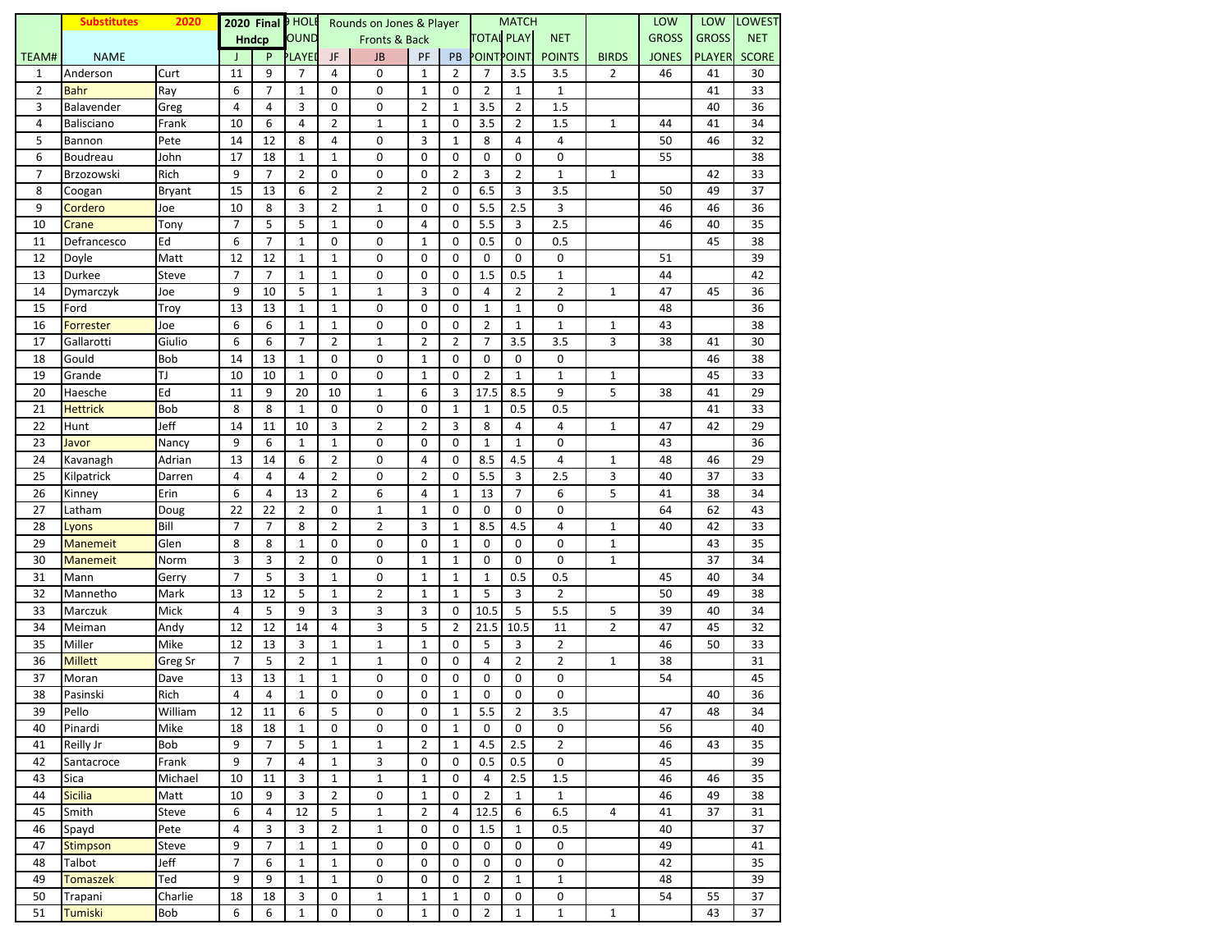|                | <b>Substitutes</b> | 2020          |                |                | 2020 Final D HOLE |                | Rounds on Jones & Player |                |                |                   | <b>MATCH</b>   |                |                | LOW          | <b>LOW</b>    | <b>LOWEST</b> |
|----------------|--------------------|---------------|----------------|----------------|-------------------|----------------|--------------------------|----------------|----------------|-------------------|----------------|----------------|----------------|--------------|---------------|---------------|
|                |                    |               |                | <b>Hndcp</b>   | OUND              |                | Fronts & Back            |                |                | <b>TOTAL PLAY</b> |                | <b>NET</b>     |                | <b>GROSS</b> | <b>GROSS</b>  | <b>NET</b>    |
| TEAM#          | <b>NAME</b>        |               | $\perp$        | P              | <b>PLAYED</b>     | JF             | <b>JB</b>                | PF             | PB             | POINT POINT!      |                | <b>POINTS</b>  | <b>BIRDS</b>   | <b>JONES</b> | <b>PLAYER</b> | <b>SCORE</b>  |
| 1              | Anderson           | Curt          | 11             | 9              | $\overline{7}$    | 4              | 0                        | $\mathbf{1}$   | $\overline{2}$ | 7                 | 3.5            | 3.5            | $\overline{2}$ | 46           | 41            | 30            |
| $\overline{2}$ | Bahr               | Ray           | 6              | 7              | $\mathbf{1}$      | 0              | 0                        | $\mathbf{1}$   | 0              | $\overline{2}$    | $\mathbf{1}$   | $\mathbf 1$    |                |              | 41            | 33            |
| 3              | Balavender         | Greg          | 4              | 4              | 3                 | 0              | 0                        | 2              | $\mathbf{1}$   | 3.5               | $\overline{2}$ | 1.5            |                |              | 40            | 36            |
| 4              | Balisciano         | Frank         | 10             | 6              | 4                 | $\overline{2}$ | $\mathbf 1$              | $\mathbf{1}$   | 0              | 3.5               | $\overline{2}$ | 1.5            | $\mathbf 1$    | 44           | 41            | 34            |
| 5              | Bannon             | Pete          | 14             | 12             | 8                 | $\overline{4}$ | 0                        | 3              | $\mathbf{1}$   | 8                 | $\overline{4}$ | $\overline{4}$ |                | 50           | 46            | 32            |
| 6              | Boudreau           | John          | 17             | 18             | $\mathbf{1}$      | $\mathbf{1}$   | 0                        | 0              | 0              | 0                 | 0              | 0              |                | 55           |               | 38            |
| $\overline{7}$ | Brzozowski         | Rich          | 9              | $\overline{7}$ | $\overline{2}$    | 0              | 0                        | 0              | $\overline{2}$ | 3                 | $\overline{2}$ | $\mathbf{1}$   | $\mathbf 1$    |              | 42            | 33            |
| 8              | Coogan             | <b>Bryant</b> | 15             | 13             | 6                 | $\overline{2}$ | $\overline{2}$           | 2              | 0              | 6.5               | 3              | 3.5            |                | 50           | 49            | 37            |
| 9              | Cordero            | Joe           | 10             | 8              | 3                 | $\overline{2}$ | $\mathbf 1$              | 0              | 0              | 5.5               | 2.5            | 3              |                | 46           | 46            | 36            |
| 10             | Crane              | Tony          | $\overline{7}$ | 5              | 5                 | $\mathbf{1}$   | 0                        | 4              | $\mathbf 0$    | 5.5               | 3              | 2.5            |                | 46           | 40            | 35            |
| 11             | Defrancesco        | Ed            | 6              | $\overline{7}$ | $\mathbf{1}$      | $\mathbf 0$    | 0                        | $\mathbf{1}$   | 0              | 0.5               | 0              | 0.5            |                |              | 45            | 38            |
| 12             | Doyle              | Matt          | 12             | 12             | $\mathbf{1}$      | $\mathbf 1$    | 0                        | 0              | 0              | 0                 | 0              | 0              |                | 51           |               | 39            |
| 13             | Durkee             | <b>Steve</b>  | $\overline{7}$ | $\overline{7}$ | $\mathbf{1}$      | 1              | 0                        | 0              | 0              | 1.5               | 0.5            | $\mathbf{1}$   |                | 44           |               | 42            |
| 14             | Dymarczyk          | Joe           | 9              | 10             | 5                 | $\mathbf{1}$   | $\mathbf 1$              | 3              | 0              | $\overline{4}$    | $\overline{2}$ | $\overline{2}$ | $\mathbf 1$    | 47           | 45            | 36            |
| 15             | Ford               | Troy          | 13             | 13             | $\mathbf 1$       | $\mathbf{1}$   | 0                        | 0              | 0              | $\mathbf{1}$      | $\mathbf{1}$   | 0              |                | 48           |               | 36            |
| 16             | Forrester          | Joe           | 6              | 6              | $\mathbf{1}$      | $\mathbf{1}$   | 0                        | 0              | $\mathbf 0$    | $\overline{2}$    | $\mathbf{1}$   | $\mathbf{1}$   | $\mathbf{1}$   | 43           |               | 38            |
| 17             | Gallarotti         | Giulio        | 6              | 6              | 7                 | $\overline{2}$ | $\mathbf 1$              | $\overline{2}$ | $\overline{2}$ | $\overline{7}$    | 3.5            | 3.5            | 3              | 38           | 41            | 30            |
| 18             | Gould              | Bob           | 14             | 13             | $\mathbf{1}$      | 0              | 0                        | $\mathbf{1}$   | 0              | 0                 | 0              | 0              |                |              | 46            | 38            |
| 19             | Grande             | TJ            | 10             | 10             | $\mathbf{1}$      | 0              | 0                        | $\mathbf{1}$   | 0              | $\overline{2}$    | $\mathbf{1}$   | $\mathbf{1}$   | $\mathbf 1$    |              | 45            | 33            |
| 20             | Haesche            | Ed            | 11             | 9              | 20                | 10             | $\mathbf 1$              | 6              | 3              | 17.5              | 8.5            | 9              | $\overline{5}$ | 38           | 41            | 29            |
| 21             | <b>Hettrick</b>    | Bob           | 8              | 8              | $\mathbf{1}$      | $\mathbf 0$    | 0                        | 0              | $\mathbf 1$    | $\mathbf{1}$      | 0.5            | 0.5            |                |              | 41            | 33            |
| 22             | Hunt               | Jeff          | 14             | 11             | 10                | 3              | $\overline{2}$           | $\overline{2}$ | 3              | 8                 | 4              | 4              | $\mathbf 1$    | 47           | 42            | 29            |
| 23             | Javor              | Nancy         | 9              | 6              | 1                 | 1              | 0                        | 0              | 0              | $\mathbf{1}$      | $\mathbf{1}$   | 0              |                | 43           |               | 36            |
| 24             | Kavanagh           | Adrian        | 13             | 14             | 6                 | $\overline{2}$ | 0                        | 4              | 0              | 8.5               | 4.5            | $\overline{4}$ | $\mathbf 1$    | 48           | 46            | 29            |
| 25             | Kilpatrick         | Darren        | 4              | $\overline{4}$ | $\overline{4}$    | $\overline{2}$ | 0                        | $\overline{2}$ | $\mathbf 0$    | 5.5               | 3              | 2.5            | 3              | 40           | 37            | 33            |
| 26             | Kinney             | Erin          | 6              | 4              | 13                | $\overline{2}$ | 6                        | 4              | $\mathbf{1}$   | 13                | $\overline{7}$ | 6              | 5              | 41           | 38            | 34            |
| 27             | Latham             | Doug          | 22             | 22             | $\overline{2}$    | 0              | $\mathbf 1$              | $\mathbf{1}$   | 0              | 0                 | 0              | 0              |                | 64           | 62            | 43            |
| 28             | Lyons              | Bill          | $\overline{7}$ | $\overline{7}$ | 8                 | $\overline{2}$ | $\overline{2}$           | 3              | $\mathbf{1}$   | 8.5               | 4.5            | 4              | $\mathbf{1}$   | 40           | 42            | 33            |
| 29             | <b>Manemeit</b>    | Glen          | 8              | 8              | $\mathbf{1}$      | $\mathbf 0$    | 0                        | 0              | $\mathbf{1}$   | 0                 | 0              | 0              | $\mathbf 1$    |              | 43            | 35            |
| 30             | <b>Manemeit</b>    | Norm          | 3              | 3              | $\overline{2}$    | $\mathbf 0$    | 0                        | $\mathbf{1}$   | $\mathbf{1}$   | 0                 | 0              | 0              | $\mathbf 1$    |              | 37            | 34            |
| 31             | Mann               | Gerry         | $\overline{7}$ | 5              | 3                 | $\mathbf{1}$   | 0                        | $\mathbf{1}$   | $\mathbf 1$    | $\mathbf 1$       | 0.5            | 0.5            |                | 45           | 40            | 34            |
| 32             | Mannetho           | Mark          | 13             | 12             | 5                 | $\mathbf 1$    | $\overline{2}$           | $\mathbf{1}$   | $\mathbf{1}$   | 5                 | 3              | $\overline{2}$ |                | 50           | 49            | 38            |
| 33             | Marczuk            | Mick          | 4              | 5              | 9                 | 3              | 3                        | 3              | 0              | 10.5              | 5              | 5.5            | 5              | 39           | 40            | 34            |
| 34             | Meiman             | Andy          | 12             | 12             | 14                | 4              | 3                        | 5              | $\overline{2}$ | 21.5              | 10.5           | 11             | $\overline{2}$ | 47           | 45            | 32            |
| 35             | Miller             | Mike          | 12             | 13             | 3                 | $\mathbf{1}$   | $\mathbf 1$              | $\mathbf{1}$   | $\mathbf 0$    | 5                 | 3              | $\overline{2}$ |                | 46           | 50            | 33            |
| 36             | <b>Millett</b>     | Greg Sr       | $\overline{7}$ | 5              | $\overline{2}$    | $\mathbf{1}$   | $\mathbf 1$              | 0              | 0              | 4                 | $\overline{2}$ | $\overline{2}$ | $\mathbf 1$    | 38           |               | 31            |
| 37             | Moran              | Dave          | 13             | 13             | $\mathbf 1$       | $\mathbf{1}$   | 0                        | 0              | 0              | 0                 | 0              | 0              |                | 54           |               | 45            |
| 38             | Pasinski           | Rich          | 4              | 4              | 1                 | 0              | 0                        | 0              | $\mathbf{1}$   | 0                 | 0              | 0              |                |              | 40            | 36            |
| 39             | Pello              | William       | 12             | 11             | 6                 | 5              | 0                        | 0              | 1              | 5.5               | 2              | 3.5            |                | 47           | 48            | 34            |
| 40             | Pinardi            | Mike          | 18             | 18             | $\mathbf{1}$      | 0              | 0                        | 0              | $\mathbf{1}$   | 0                 | 0              | 0              |                | 56           |               | 40            |
| 41             | Reilly Jr          | Bob           | 9              | $\overline{7}$ | 5                 | $\mathbf{1}$   | $\mathbf 1$              | $\overline{2}$ | $\mathbf{1}$   | 4.5               | 2.5            | $\overline{2}$ |                | 46           | 43            | 35            |
| 42             | Santacroce         | Frank         | 9              | $\overline{7}$ | 4                 | $\mathbf{1}$   | 3                        | 0              | 0              | 0.5               | 0.5            | 0              |                | 45           |               | 39            |
| 43             | Sica               | Michael       | 10             | 11             | 3                 | 1              | $\mathbf{1}$             | $\mathbf{1}$   | 0              | 4                 | 2.5            | 1.5            |                | 46           | 46            | 35            |
| 44             | <b>Sicilia</b>     | Matt          | 10             | 9              | 3                 | $\overline{2}$ | 0                        | $\mathbf{1}$   | 0              | $\overline{2}$    | $\mathbf{1}$   | $\mathbf{1}$   |                | 46           | 49            | 38            |
| 45             | Smith              | Steve         | 6              | 4              | 12                | 5              | $\mathbf 1$              | $\overline{2}$ | $\overline{a}$ | 12.5              | 6              | 6.5            | $\overline{4}$ | 41           | 37            | 31            |
| 46             | Spayd              | Pete          | 4              | $\mathbf{3}$   | 3                 | $\overline{2}$ | $\mathbf 1$              | 0              | 0              | 1.5               | $\mathbf{1}$   | 0.5            |                | 40           |               | 37            |
| 47             | <b>Stimpson</b>    | Steve         | 9              | $\overline{7}$ | $\mathbf 1$       | $\mathbf{1}$   | 0                        | 0              | 0              | 0                 | 0              | 0              |                | 49           |               | 41            |
| 48             | Talbot             | Jeff          | $\overline{7}$ | 6              | $\mathbf{1}$      | 1              | 0                        | 0              | 0              | 0                 | 0              | 0              |                | 42           |               | 35            |
| 49             | <b>Tomaszek</b>    | Ted           | 9              | 9              | $\mathbf{1}$      | $\mathbf{1}$   | 0                        | 0              | 0              | $\overline{2}$    | $\mathbf{1}$   | $\mathbf{1}$   |                | 48           |               | 39            |
| 50             | Trapani            | Charlie       | 18             | 18             | 3                 | 0              | $\mathbf 1$              | $\mathbf{1}$   | $\mathbf{1}$   | 0                 | 0              | 0              |                | 54           | 55            | 37            |
| 51             | Tumiski            | Bob           | 6              | 6              | $\mathbf{1}$      | 0              | 0                        | $\mathbf{1}$   | 0              | $\overline{2}$    | $\mathbf{1}$   | $\mathbf{1}$   | $\mathbf{1}$   |              | 43            | 37            |